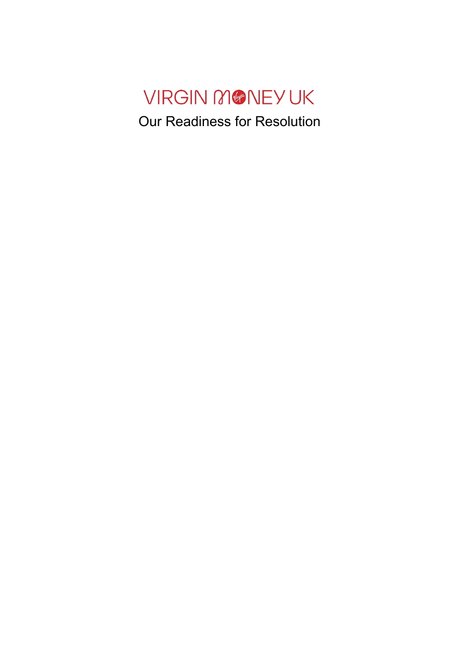# VIRGIN MONEYUK Our Readiness for Resolution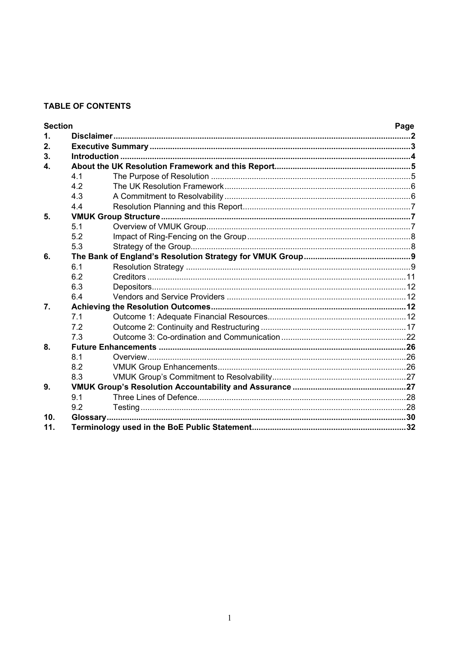# **TABLE OF CONTENTS**

| <b>Section</b> |     |  | Page |  |  |
|----------------|-----|--|------|--|--|
| 1.             |     |  |      |  |  |
| 2.             |     |  |      |  |  |
| 3.             |     |  |      |  |  |
| $\mathbf{4}$   |     |  |      |  |  |
|                | 4.1 |  |      |  |  |
|                | 4.2 |  |      |  |  |
|                | 4.3 |  |      |  |  |
|                | 4.4 |  |      |  |  |
| 5.             |     |  |      |  |  |
|                | 5.1 |  |      |  |  |
|                | 5.2 |  |      |  |  |
|                | 5.3 |  |      |  |  |
| 6.             |     |  |      |  |  |
|                | 6.1 |  |      |  |  |
|                | 6.2 |  |      |  |  |
|                | 6.3 |  |      |  |  |
|                | 6.4 |  |      |  |  |
| 7.             |     |  |      |  |  |
|                | 7.1 |  |      |  |  |
|                | 7.2 |  |      |  |  |
|                | 7.3 |  |      |  |  |
| 8.             |     |  |      |  |  |
|                | 8.1 |  |      |  |  |
|                | 8.2 |  |      |  |  |
|                | 8.3 |  |      |  |  |
| 9.             |     |  |      |  |  |
|                | 9.1 |  |      |  |  |
|                | 9.2 |  |      |  |  |
| 10.            |     |  |      |  |  |
| 11.            |     |  |      |  |  |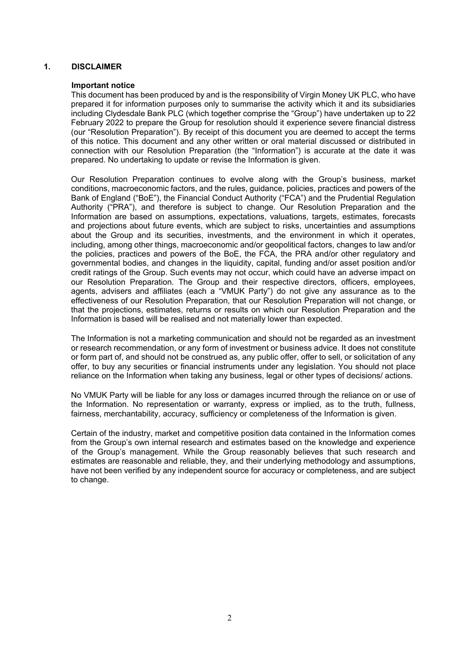#### **1. DISCLAIMER**

#### **Important notice**

This document has been produced by and is the responsibility of Virgin Money UK PLC, who have prepared it for information purposes only to summarise the activity which it and its subsidiaries including Clydesdale Bank PLC (which together comprise the "Group") have undertaken up to 22 February 2022 to prepare the Group for resolution should it experience severe financial distress (our "Resolution Preparation"). By receipt of this document you are deemed to accept the terms of this notice. This document and any other written or oral material discussed or distributed in connection with our Resolution Preparation (the "Information") is accurate at the date it was prepared. No undertaking to update or revise the Information is given.

Our Resolution Preparation continues to evolve along with the Group's business, market conditions, macroeconomic factors, and the rules, guidance, policies, practices and powers of the Bank of England ("BoE"), the Financial Conduct Authority ("FCA") and the Prudential Regulation Authority ("PRA"), and therefore is subject to change. Our Resolution Preparation and the Information are based on assumptions, expectations, valuations, targets, estimates, forecasts and projections about future events, which are subject to risks, uncertainties and assumptions about the Group and its securities, investments, and the environment in which it operates, including, among other things, macroeconomic and/or geopolitical factors, changes to law and/or the policies, practices and powers of the BoE, the FCA, the PRA and/or other regulatory and governmental bodies, and changes in the liquidity, capital, funding and/or asset position and/or credit ratings of the Group. Such events may not occur, which could have an adverse impact on our Resolution Preparation. The Group and their respective directors, officers, employees, agents, advisers and affiliates (each a "VMUK Party") do not give any assurance as to the effectiveness of our Resolution Preparation, that our Resolution Preparation will not change, or that the projections, estimates, returns or results on which our Resolution Preparation and the Information is based will be realised and not materially lower than expected.

The Information is not a marketing communication and should not be regarded as an investment or research recommendation, or any form of investment or business advice. It does not constitute or form part of, and should not be construed as, any public offer, offer to sell, or solicitation of any offer, to buy any securities or financial instruments under any legislation. You should not place reliance on the Information when taking any business, legal or other types of decisions/ actions.

No VMUK Party will be liable for any loss or damages incurred through the reliance on or use of the Information. No representation or warranty, express or implied, as to the truth, fullness, fairness, merchantability, accuracy, sufficiency or completeness of the Information is given.

Certain of the industry, market and competitive position data contained in the Information comes from the Group's own internal research and estimates based on the knowledge and experience of the Group's management. While the Group reasonably believes that such research and estimates are reasonable and reliable, they, and their underlying methodology and assumptions, have not been verified by any independent source for accuracy or completeness, and are subject to change.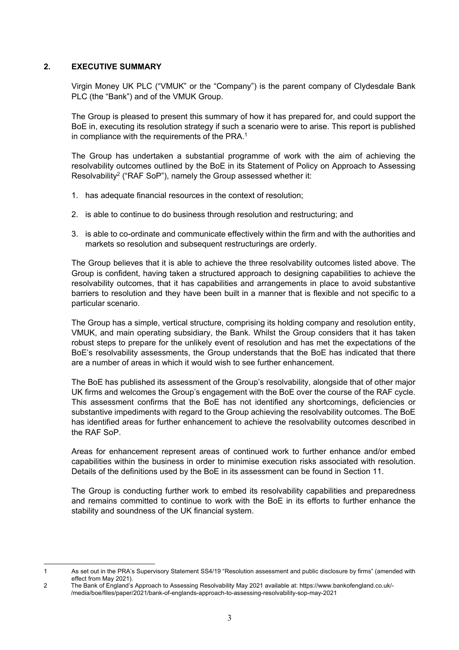#### **2. EXECUTIVE SUMMARY**

Virgin Money UK PLC ("VMUK" or the "Company") is the parent company of Clydesdale Bank PLC (the "Bank") and of the VMUK Group.

The Group is pleased to present this summary of how it has prepared for, and could support the BoE in, executing its resolution strategy if such a scenario were to arise. This report is published in compliance with the requirements of the PRA.<sup>1</sup>

The Group has undertaken a substantial programme of work with the aim of achieving the resolvability outcomes outlined by the BoE in its Statement of Policy on Approach to Assessing Resolvability<sup>2</sup> ("RAF SoP"), namely the Group assessed whether it:

- 1. has adequate financial resources in the context of resolution;
- 2. is able to continue to do business through resolution and restructuring; and
- 3. is able to co-ordinate and communicate effectively within the firm and with the authorities and markets so resolution and subsequent restructurings are orderly.

The Group believes that it is able to achieve the three resolvability outcomes listed above. The Group is confident, having taken a structured approach to designing capabilities to achieve the resolvability outcomes, that it has capabilities and arrangements in place to avoid substantive barriers to resolution and they have been built in a manner that is flexible and not specific to a particular scenario.

The Group has a simple, vertical structure, comprising its holding company and resolution entity, VMUK, and main operating subsidiary, the Bank. Whilst the Group considers that it has taken robust steps to prepare for the unlikely event of resolution and has met the expectations of the BoE's resolvability assessments, the Group understands that the BoE has indicated that there are a number of areas in which it would wish to see further enhancement.

The BoE has published its assessment of the Group's resolvability, alongside that of other major UK firms and welcomes the Group's engagement with the BoE over the course of the RAF cycle. This assessment confirms that the BoE has not identified any shortcomings, deficiencies or substantive impediments with regard to the Group achieving the resolvability outcomes. The BoE has identified areas for further enhancement to achieve the resolvability outcomes described in the RAF SoP.

Areas for enhancement represent areas of continued work to further enhance and/or embed capabilities within the business in order to minimise execution risks associated with resolution. Details of the definitions used by the BoE in its assessment can be found in Section 11.

The Group is conducting further work to embed its resolvability capabilities and preparedness and remains committed to continue to work with the BoE in its efforts to further enhance the stability and soundness of the UK financial system.

<sup>1</sup> As set out in the PRA's Supervisory Statement SS4/19 "Resolution assessment and public disclosure by firms" (amended with effect from May 2021).

<sup>2</sup> The Bank of England's Approach to Assessing Resolvability May 2021 available at: https://www.bankofengland.co.uk/- /media/boe/files/paper/2021/bank-of-englands-approach-to-assessing-resolvability-sop-may-2021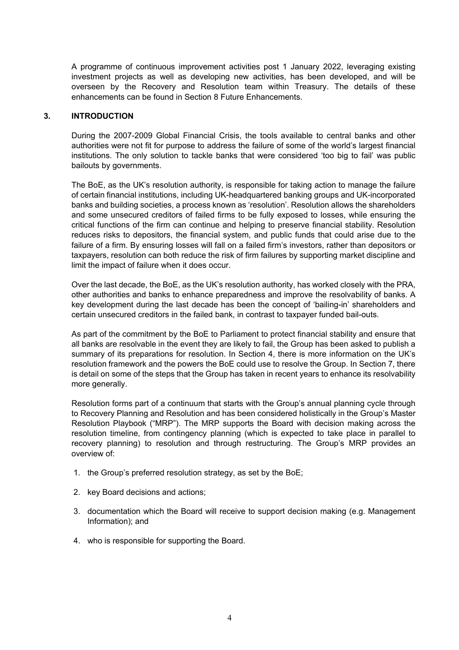A programme of continuous improvement activities post 1 January 2022, leveraging existing investment projects as well as developing new activities, has been developed, and will be overseen by the Recovery and Resolution team within Treasury. The details of these enhancements can be found in Section 8 Future Enhancements.

#### **3. INTRODUCTION**

During the 2007-2009 Global Financial Crisis, the tools available to central banks and other authorities were not fit for purpose to address the failure of some of the world's largest financial institutions. The only solution to tackle banks that were considered 'too big to fail' was public bailouts by governments.

The BoE, as the UK's resolution authority, is responsible for taking action to manage the failure of certain financial institutions, including UK-headquartered banking groups and UK-incorporated banks and building societies, a process known as 'resolution'. Resolution allows the shareholders and some unsecured creditors of failed firms to be fully exposed to losses, while ensuring the critical functions of the firm can continue and helping to preserve financial stability. Resolution reduces risks to depositors, the financial system, and public funds that could arise due to the failure of a firm. By ensuring losses will fall on a failed firm's investors, rather than depositors or taxpayers, resolution can both reduce the risk of firm failures by supporting market discipline and limit the impact of failure when it does occur.

Over the last decade, the BoE, as the UK's resolution authority, has worked closely with the PRA, other authorities and banks to enhance preparedness and improve the resolvability of banks. A key development during the last decade has been the concept of 'bailing-in' shareholders and certain unsecured creditors in the failed bank, in contrast to taxpayer funded bail-outs.

As part of the commitment by the BoE to Parliament to protect financial stability and ensure that all banks are resolvable in the event they are likely to fail, the Group has been asked to publish a summary of its preparations for resolution. In Section 4, there is more information on the UK's resolution framework and the powers the BoE could use to resolve the Group. In Section 7, there is detail on some of the steps that the Group has taken in recent years to enhance its resolvability more generally.

Resolution forms part of a continuum that starts with the Group's annual planning cycle through to Recovery Planning and Resolution and has been considered holistically in the Group's Master Resolution Playbook ("MRP"). The MRP supports the Board with decision making across the resolution timeline, from contingency planning (which is expected to take place in parallel to recovery planning) to resolution and through restructuring. The Group's MRP provides an overview of:

- 1. the Group's preferred resolution strategy, as set by the BoE;
- 2. key Board decisions and actions;
- 3. documentation which the Board will receive to support decision making (e.g. Management Information); and
- 4. who is responsible for supporting the Board.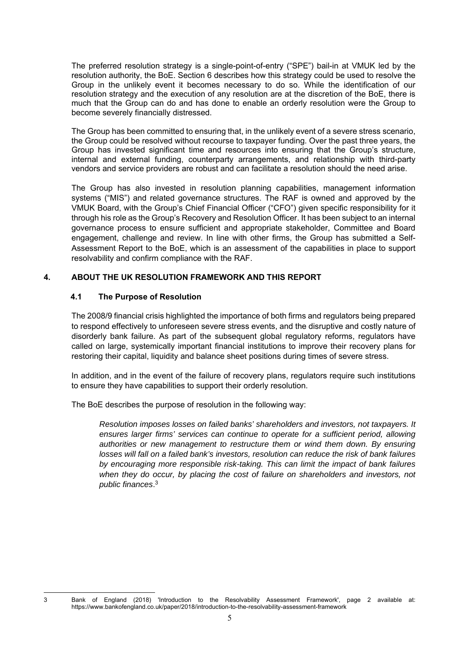The preferred resolution strategy is a single-point-of-entry ("SPE") bail-in at VMUK led by the resolution authority, the BoE. Section 6 describes how this strategy could be used to resolve the Group in the unlikely event it becomes necessary to do so. While the identification of our resolution strategy and the execution of any resolution are at the discretion of the BoE, there is much that the Group can do and has done to enable an orderly resolution were the Group to become severely financially distressed.

The Group has been committed to ensuring that, in the unlikely event of a severe stress scenario, the Group could be resolved without recourse to taxpayer funding. Over the past three years, the Group has invested significant time and resources into ensuring that the Group's structure, internal and external funding, counterparty arrangements, and relationship with third-party vendors and service providers are robust and can facilitate a resolution should the need arise.

The Group has also invested in resolution planning capabilities, management information systems ("MIS") and related governance structures. The RAF is owned and approved by the VMUK Board, with the Group's Chief Financial Officer ("CFO") given specific responsibility for it through his role as the Group's Recovery and Resolution Officer. It has been subject to an internal governance process to ensure sufficient and appropriate stakeholder, Committee and Board engagement, challenge and review. In line with other firms, the Group has submitted a Self-Assessment Report to the BoE, which is an assessment of the capabilities in place to support resolvability and confirm compliance with the RAF.

#### **4. ABOUT THE UK RESOLUTION FRAMEWORK AND THIS REPORT**

#### **4.1 The Purpose of Resolution**

The 2008/9 financial crisis highlighted the importance of both firms and regulators being prepared to respond effectively to unforeseen severe stress events, and the disruptive and costly nature of disorderly bank failure. As part of the subsequent global regulatory reforms, regulators have called on large, systemically important financial institutions to improve their recovery plans for restoring their capital, liquidity and balance sheet positions during times of severe stress.

In addition, and in the event of the failure of recovery plans, regulators require such institutions to ensure they have capabilities to support their orderly resolution.

The BoE describes the purpose of resolution in the following way:

*Resolution imposes losses on failed banks' shareholders and investors, not taxpayers. It ensures larger firms' services can continue to operate for a sufficient period, allowing authorities or new management to restructure them or wind them down. By ensuring losses will fall on a failed bank's investors, resolution can reduce the risk of bank failures by encouraging more responsible risk-taking. This can limit the impact of bank failures when they do occur, by placing the cost of failure on shareholders and investors, not public finances*. 3

<sup>3</sup> Bank of England (2018) 'Introduction to the Resolvability Assessment Framework', page 2 available at: https://www.bankofengland.co.uk/paper/2018/introduction-to-the-resolvability-assessment-framework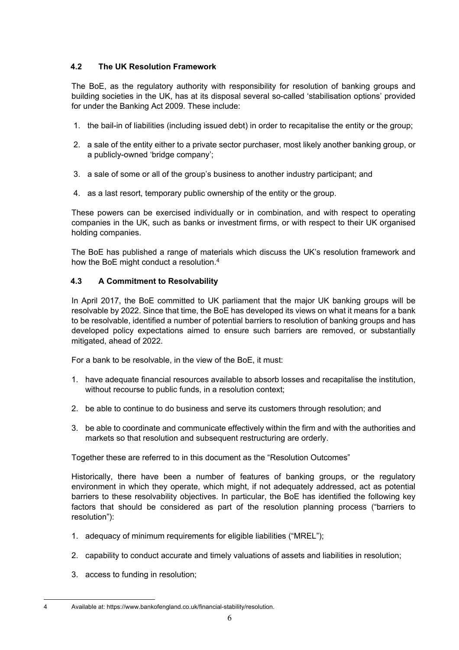# **4.2 The UK Resolution Framework**

The BoE, as the regulatory authority with responsibility for resolution of banking groups and building societies in the UK, has at its disposal several so-called 'stabilisation options' provided for under the Banking Act 2009. These include:

- 1. the bail-in of liabilities (including issued debt) in order to recapitalise the entity or the group;
- 2. a sale of the entity either to a private sector purchaser, most likely another banking group, or a publicly-owned 'bridge company';
- 3. a sale of some or all of the group's business to another industry participant; and
- 4. as a last resort, temporary public ownership of the entity or the group.

These powers can be exercised individually or in combination, and with respect to operating companies in the UK, such as banks or investment firms, or with respect to their UK organised holding companies.

The BoE has published a range of materials which discuss the UK's resolution framework and how the BoE might conduct a resolution.4

# **4.3 A Commitment to Resolvability**

In April 2017, the BoE committed to UK parliament that the major UK banking groups will be resolvable by 2022. Since that time, the BoE has developed its views on what it means for a bank to be resolvable, identified a number of potential barriers to resolution of banking groups and has developed policy expectations aimed to ensure such barriers are removed, or substantially mitigated, ahead of 2022.

For a bank to be resolvable, in the view of the BoE, it must:

- 1. have adequate financial resources available to absorb losses and recapitalise the institution, without recourse to public funds, in a resolution context;
- 2. be able to continue to do business and serve its customers through resolution; and
- 3. be able to coordinate and communicate effectively within the firm and with the authorities and markets so that resolution and subsequent restructuring are orderly.

Together these are referred to in this document as the "Resolution Outcomes"

Historically, there have been a number of features of banking groups, or the regulatory environment in which they operate, which might, if not adequately addressed, act as potential barriers to these resolvability objectives. In particular, the BoE has identified the following key factors that should be considered as part of the resolution planning process ("barriers to resolution"):

- 1. adequacy of minimum requirements for eligible liabilities ("MREL");
- 2. capability to conduct accurate and timely valuations of assets and liabilities in resolution;
- 3. access to funding in resolution;

<sup>4</sup> Available at: https://www.bankofengland.co.uk/financial-stability/resolution.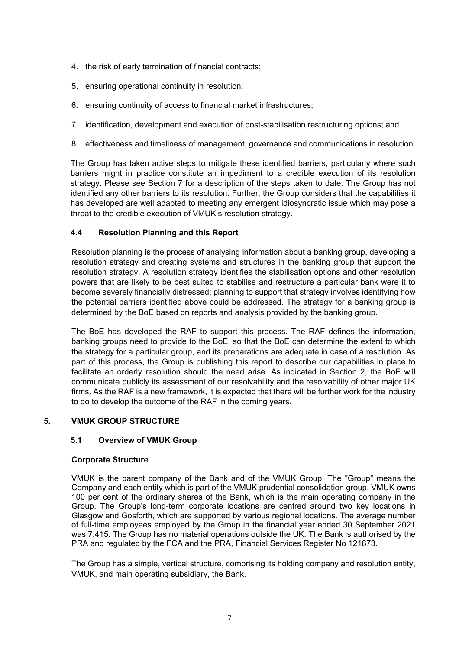- 4. the risk of early termination of financial contracts;
- 5. ensuring operational continuity in resolution;
- 6. ensuring continuity of access to financial market infrastructures;
- 7. identification, development and execution of post-stabilisation restructuring options; and
- 8. effectiveness and timeliness of management, governance and communications in resolution.

The Group has taken active steps to mitigate these identified barriers, particularly where such barriers might in practice constitute an impediment to a credible execution of its resolution strategy. Please see Section 7 for a description of the steps taken to date. The Group has not identified any other barriers to its resolution. Further, the Group considers that the capabilities it has developed are well adapted to meeting any emergent idiosyncratic issue which may pose a threat to the credible execution of VMUK's resolution strategy.

# **4.4 Resolution Planning and this Report**

Resolution planning is the process of analysing information about a banking group, developing a resolution strategy and creating systems and structures in the banking group that support the resolution strategy. A resolution strategy identifies the stabilisation options and other resolution powers that are likely to be best suited to stabilise and restructure a particular bank were it to become severely financially distressed; planning to support that strategy involves identifying how the potential barriers identified above could be addressed. The strategy for a banking group is determined by the BoE based on reports and analysis provided by the banking group.

The BoE has developed the RAF to support this process. The RAF defines the information, banking groups need to provide to the BoE, so that the BoE can determine the extent to which the strategy for a particular group, and its preparations are adequate in case of a resolution. As part of this process, the Group is publishing this report to describe our capabilities in place to facilitate an orderly resolution should the need arise. As indicated in Section 2, the BoE will communicate publicly its assessment of our resolvability and the resolvability of other major UK firms. As the RAF is a new framework, it is expected that there will be further work for the industry to do to develop the outcome of the RAF in the coming years.

## **5. VMUK GROUP STRUCTURE**

## **5.1 Overview of VMUK Group**

## **Corporate Structur**e

VMUK is the parent company of the Bank and of the VMUK Group. The "Group" means the Company and each entity which is part of the VMUK prudential consolidation group. VMUK owns 100 per cent of the ordinary shares of the Bank, which is the main operating company in the Group. The Group's long-term corporate locations are centred around two key locations in Glasgow and Gosforth, which are supported by various regional locations. The average number of full-time employees employed by the Group in the financial year ended 30 September 2021 was 7,415. The Group has no material operations outside the UK. The Bank is authorised by the PRA and regulated by the FCA and the PRA, Financial Services Register No 121873.

The Group has a simple, vertical structure, comprising its holding company and resolution entity, VMUK, and main operating subsidiary, the Bank.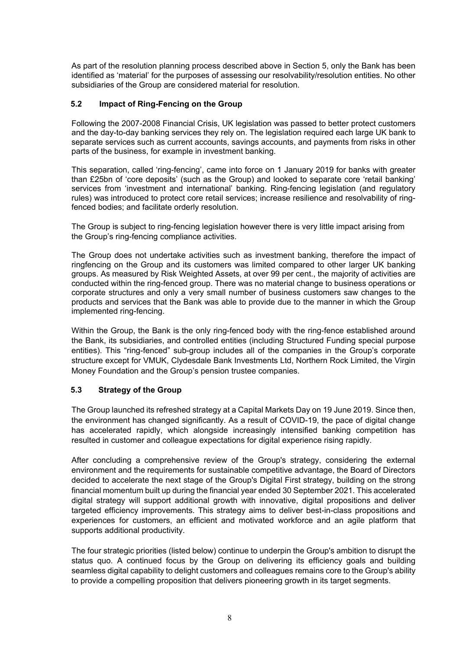As part of the resolution planning process described above in Section 5, only the Bank has been identified as 'material' for the purposes of assessing our resolvability/resolution entities. No other subsidiaries of the Group are considered material for resolution.

## **5.2 Impact of Ring-Fencing on the Group**

Following the 2007-2008 Financial Crisis, UK legislation was passed to better protect customers and the day-to-day banking services they rely on. The legislation required each large UK bank to separate services such as current accounts, savings accounts, and payments from risks in other parts of the business, for example in investment banking.

This separation, called 'ring-fencing', came into force on 1 January 2019 for banks with greater than £25bn of 'core deposits' (such as the Group) and looked to separate core 'retail banking' services from 'investment and international' banking. Ring-fencing legislation (and regulatory rules) was introduced to protect core retail services; increase resilience and resolvability of ringfenced bodies; and facilitate orderly resolution.

The Group is subject to ring-fencing legislation however there is very little impact arising from the Group's ring-fencing compliance activities.

The Group does not undertake activities such as investment banking, therefore the impact of ringfencing on the Group and its customers was limited compared to other larger UK banking groups. As measured by Risk Weighted Assets, at over 99 per cent., the majority of activities are conducted within the ring-fenced group. There was no material change to business operations or corporate structures and only a very small number of business customers saw changes to the products and services that the Bank was able to provide due to the manner in which the Group implemented ring-fencing.

Within the Group, the Bank is the only ring-fenced body with the ring-fence established around the Bank, its subsidiaries, and controlled entities (including Structured Funding special purpose entities). This "ring-fenced" sub-group includes all of the companies in the Group's corporate structure except for VMUK, Clydesdale Bank Investments Ltd, Northern Rock Limited, the Virgin Money Foundation and the Group's pension trustee companies.

## **5.3 Strategy of the Group**

The Group launched its refreshed strategy at a Capital Markets Day on 19 June 2019. Since then, the environment has changed significantly. As a result of COVID-19, the pace of digital change has accelerated rapidly, which alongside increasingly intensified banking competition has resulted in customer and colleague expectations for digital experience rising rapidly.

After concluding a comprehensive review of the Group's strategy, considering the external environment and the requirements for sustainable competitive advantage, the Board of Directors decided to accelerate the next stage of the Group's Digital First strategy, building on the strong financial momentum built up during the financial year ended 30 September 2021. This accelerated digital strategy will support additional growth with innovative, digital propositions and deliver targeted efficiency improvements. This strategy aims to deliver best-in-class propositions and experiences for customers, an efficient and motivated workforce and an agile platform that supports additional productivity.

The four strategic priorities (listed below) continue to underpin the Group's ambition to disrupt the status quo. A continued focus by the Group on delivering its efficiency goals and building seamless digital capability to delight customers and colleagues remains core to the Group's ability to provide a compelling proposition that delivers pioneering growth in its target segments.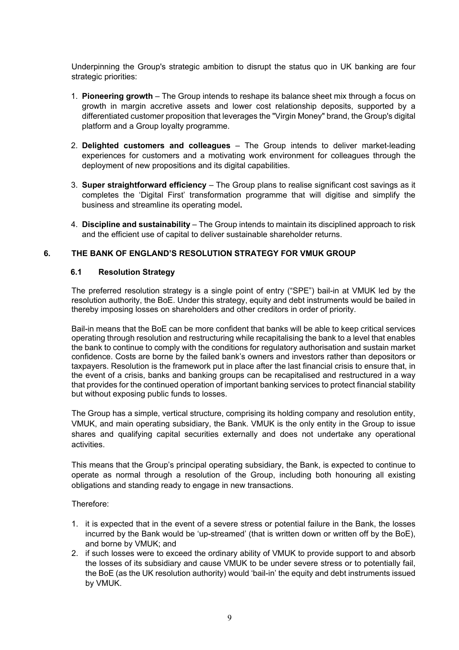Underpinning the Group's strategic ambition to disrupt the status quo in UK banking are four strategic priorities:

- 1. **Pioneering growth** The Group intends to reshape its balance sheet mix through a focus on growth in margin accretive assets and lower cost relationship deposits, supported by a differentiated customer proposition that leverages the "Virgin Money" brand, the Group's digital platform and a Group loyalty programme.
- 2. **Delighted customers and colleagues** The Group intends to deliver market-leading experiences for customers and a motivating work environment for colleagues through the deployment of new propositions and its digital capabilities.
- 3. **Super straightforward efficiency** The Group plans to realise significant cost savings as it completes the 'Digital First' transformation programme that will digitise and simplify the business and streamline its operating model**.**
- 4. **Discipline and sustainability** The Group intends to maintain its disciplined approach to risk and the efficient use of capital to deliver sustainable shareholder returns.

#### **6. THE BANK OF ENGLAND'S RESOLUTION STRATEGY FOR VMUK GROUP**

#### **6.1 Resolution Strategy**

The preferred resolution strategy is a single point of entry ("SPE") bail-in at VMUK led by the resolution authority, the BoE. Under this strategy, equity and debt instruments would be bailed in thereby imposing losses on shareholders and other creditors in order of priority.

Bail-in means that the BoE can be more confident that banks will be able to keep critical services operating through resolution and restructuring while recapitalising the bank to a level that enables the bank to continue to comply with the conditions for regulatory authorisation and sustain market confidence. Costs are borne by the failed bank's owners and investors rather than depositors or taxpayers. Resolution is the framework put in place after the last financial crisis to ensure that, in the event of a crisis, banks and banking groups can be recapitalised and restructured in a way that provides for the continued operation of important banking services to protect financial stability but without exposing public funds to losses.

The Group has a simple, vertical structure, comprising its holding company and resolution entity, VMUK, and main operating subsidiary, the Bank. VMUK is the only entity in the Group to issue shares and qualifying capital securities externally and does not undertake any operational activities.

This means that the Group's principal operating subsidiary, the Bank, is expected to continue to operate as normal through a resolution of the Group, including both honouring all existing obligations and standing ready to engage in new transactions.

Therefore:

- 1. it is expected that in the event of a severe stress or potential failure in the Bank, the losses incurred by the Bank would be 'up-streamed' (that is written down or written off by the BoE), and borne by VMUK; and
- 2. if such losses were to exceed the ordinary ability of VMUK to provide support to and absorb the losses of its subsidiary and cause VMUK to be under severe stress or to potentially fail, the BoE (as the UK resolution authority) would 'bail-in' the equity and debt instruments issued by VMUK.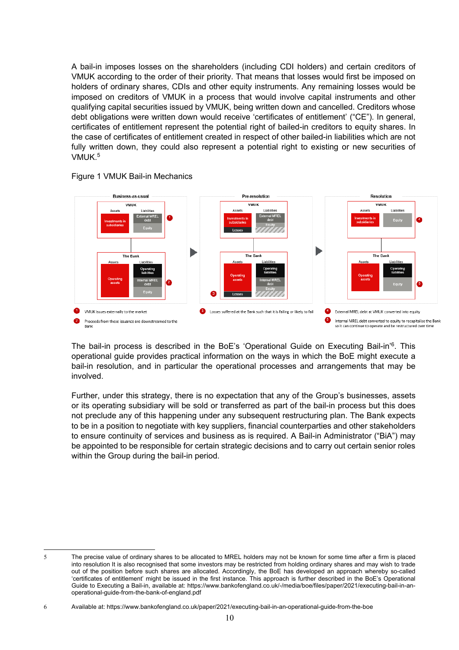A bail-in imposes losses on the shareholders (including CDI holders) and certain creditors of VMUK according to the order of their priority. That means that losses would first be imposed on holders of ordinary shares, CDIs and other equity instruments. Any remaining losses would be imposed on creditors of VMUK in a process that would involve capital instruments and other qualifying capital securities issued by VMUK, being written down and cancelled. Creditors whose debt obligations were written down would receive 'certificates of entitlement' ("CE"). In general, certificates of entitlement represent the potential right of bailed-in creditors to equity shares. In the case of certificates of entitlement created in respect of other bailed-in liabilities which are not fully written down, they could also represent a potential right to existing or new securities of VMUK.5



Figure 1 VMUK Bail-in Mechanics

The bail-in process is described in the BoE's 'Operational Guide on Executing Bail-in'<sup>6</sup>. This operational guide provides practical information on the ways in which the BoE might execute a bail-in resolution, and in particular the operational processes and arrangements that may be involved.

Further, under this strategy, there is no expectation that any of the Group's businesses, assets or its operating subsidiary will be sold or transferred as part of the bail-in process but this does not preclude any of this happening under any subsequent restructuring plan. The Bank expects to be in a position to negotiate with key suppliers, financial counterparties and other stakeholders to ensure continuity of services and business as is required. A Bail-in Administrator ("BiA") may be appointed to be responsible for certain strategic decisions and to carry out certain senior roles within the Group during the bail-in period.

<sup>5</sup> The precise value of ordinary shares to be allocated to MREL holders may not be known for some time after a firm is placed into resolution It is also recognised that some investors may be restricted from holding ordinary shares and may wish to trade out of the position before such shares are allocated. Accordingly, the BoE has developed an approach whereby so-called 'certificates of entitlement' might be issued in the first instance. This approach is further described in the BoE's Operational Guide to Executing a Bail-in, available at: https://www.bankofengland.co.uk/-/media/boe/files/paper/2021/executing-bail-in-anoperational-guide-from-the-bank-of-england.pdf

<sup>6</sup> Available at: https://www.bankofengland.co.uk/paper/2021/executing-bail-in-an-operational-guide-from-the-boe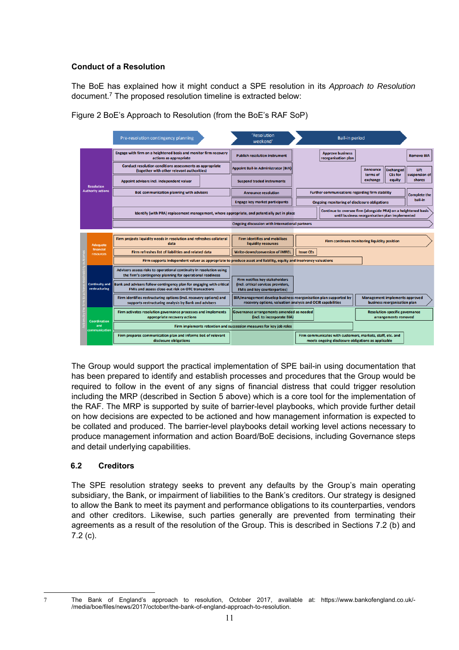# **Conduct of a Resolution**

The BoE has explained how it might conduct a SPE resolution in its *Approach to Resolution*  document.7 The proposed resolution timeline is extracted below:



Figure 2 BoE's Approach to Resolution (from the BoE's RAF SoP)

The Group would support the practical implementation of SPE bail-in using documentation that has been prepared to identify and establish processes and procedures that the Group would be required to follow in the event of any signs of financial distress that could trigger resolution including the MRP (described in Section 5 above) which is a core tool for the implementation of the RAF. The MRP is supported by suite of barrier-level playbooks, which provide further detail on how decisions are expected to be actioned and how management information is expected to be collated and produced. The barrier-level playbooks detail working level actions necessary to produce management information and action Board/BoE decisions, including Governance steps and detail underlying capabilities.

## **6.2 Creditors**

The SPE resolution strategy seeks to prevent any defaults by the Group's main operating subsidiary, the Bank, or impairment of liabilities to the Bank's creditors. Our strategy is designed to allow the Bank to meet its payment and performance obligations to its counterparties, vendors and other creditors. Likewise, such parties generally are prevented from terminating their agreements as a result of the resolution of the Group. This is described in Sections 7.2 (b) and 7.2 (c).

<sup>7</sup> The Bank of England's approach to resolution, October 2017, available at: https://www.bankofengland.co.uk/- /media/boe/files/news/2017/october/the-bank-of-england-approach-to-resolution.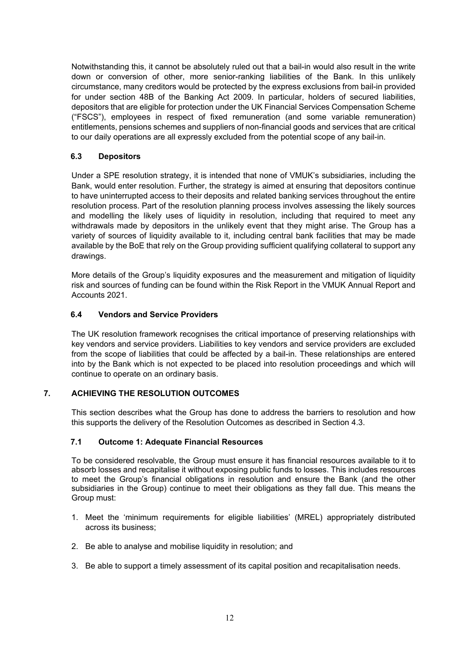Notwithstanding this, it cannot be absolutely ruled out that a bail-in would also result in the write down or conversion of other, more senior-ranking liabilities of the Bank. In this unlikely circumstance, many creditors would be protected by the express exclusions from bail-in provided for under section 48B of the Banking Act 2009. In particular, holders of secured liabilities, depositors that are eligible for protection under the UK Financial Services Compensation Scheme ("FSCS"), employees in respect of fixed remuneration (and some variable remuneration) entitlements, pensions schemes and suppliers of non-financial goods and services that are critical to our daily operations are all expressly excluded from the potential scope of any bail-in.

# **6.3 Depositors**

Under a SPE resolution strategy, it is intended that none of VMUK's subsidiaries, including the Bank, would enter resolution. Further, the strategy is aimed at ensuring that depositors continue to have uninterrupted access to their deposits and related banking services throughout the entire resolution process. Part of the resolution planning process involves assessing the likely sources and modelling the likely uses of liquidity in resolution, including that required to meet any withdrawals made by depositors in the unlikely event that they might arise. The Group has a variety of sources of liquidity available to it, including central bank facilities that may be made available by the BoE that rely on the Group providing sufficient qualifying collateral to support any drawings.

More details of the Group's liquidity exposures and the measurement and mitigation of liquidity risk and sources of funding can be found within the Risk Report in the VMUK Annual Report and Accounts 2021.

## **6.4 Vendors and Service Providers**

The UK resolution framework recognises the critical importance of preserving relationships with key vendors and service providers. Liabilities to key vendors and service providers are excluded from the scope of liabilities that could be affected by a bail-in. These relationships are entered into by the Bank which is not expected to be placed into resolution proceedings and which will continue to operate on an ordinary basis.

## **7. ACHIEVING THE RESOLUTION OUTCOMES**

This section describes what the Group has done to address the barriers to resolution and how this supports the delivery of the Resolution Outcomes as described in Section 4.3.

## **7.1 Outcome 1: Adequate Financial Resources**

To be considered resolvable, the Group must ensure it has financial resources available to it to absorb losses and recapitalise it without exposing public funds to losses. This includes resources to meet the Group's financial obligations in resolution and ensure the Bank (and the other subsidiaries in the Group) continue to meet their obligations as they fall due. This means the Group must:

- 1. Meet the 'minimum requirements for eligible liabilities' (MREL) appropriately distributed across its business;
- 2. Be able to analyse and mobilise liquidity in resolution; and
- 3. Be able to support a timely assessment of its capital position and recapitalisation needs.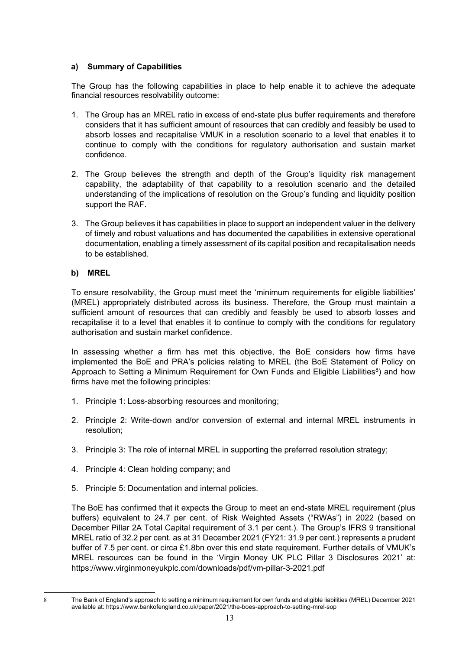# **a) Summary of Capabilities**

The Group has the following capabilities in place to help enable it to achieve the adequate financial resources resolvability outcome:

- 1. The Group has an MREL ratio in excess of end-state plus buffer requirements and therefore considers that it has sufficient amount of resources that can credibly and feasibly be used to absorb losses and recapitalise VMUK in a resolution scenario to a level that enables it to continue to comply with the conditions for regulatory authorisation and sustain market confidence.
- 2. The Group believes the strength and depth of the Group's liquidity risk management capability, the adaptability of that capability to a resolution scenario and the detailed understanding of the implications of resolution on the Group's funding and liquidity position support the RAF.
- 3. The Group believes it has capabilities in place to support an independent valuer in the delivery of timely and robust valuations and has documented the capabilities in extensive operational documentation, enabling a timely assessment of its capital position and recapitalisation needs to be established.

# **b) MREL**

To ensure resolvability, the Group must meet the 'minimum requirements for eligible liabilities' (MREL) appropriately distributed across its business. Therefore, the Group must maintain a sufficient amount of resources that can credibly and feasibly be used to absorb losses and recapitalise it to a level that enables it to continue to comply with the conditions for regulatory authorisation and sustain market confidence.

In assessing whether a firm has met this objective, the BoE considers how firms have implemented the BoE and PRA's policies relating to MREL (the BoE Statement of Policy on Approach to Setting a Minimum Requirement for Own Funds and Eligible Liabilities<sup>8</sup>) and how firms have met the following principles:

- 1. Principle 1: Loss-absorbing resources and monitoring;
- 2. Principle 2: Write-down and/or conversion of external and internal MREL instruments in resolution;
- 3. Principle 3: The role of internal MREL in supporting the preferred resolution strategy;
- 4. Principle 4: Clean holding company; and
- 5. Principle 5: Documentation and internal policies.

The BoE has confirmed that it expects the Group to meet an end-state MREL requirement (plus buffers) equivalent to 24.7 per cent. of Risk Weighted Assets ("RWAs") in 2022 (based on December Pillar 2A Total Capital requirement of 3.1 per cent.). The Group's IFRS 9 transitional MREL ratio of 32.2 per cent. as at 31 December 2021 (FY21: 31.9 per cent.) represents a prudent buffer of 7.5 per cent. or circa £1.8bn over this end state requirement. Further details of VMUK's MREL resources can be found in the 'Virgin Money UK PLC Pillar 3 Disclosures 2021' at: https://www.virginmoneyukplc.com/downloads/pdf/vm-pillar-3-2021.pdf

<sup>8</sup> The Bank of England's approach to setting a minimum requirement for own funds and eligible liabilities (MREL) December 2021 available at: https://www.bankofengland.co.uk/paper/2021/the-boes-approach-to-setting-mrel-sop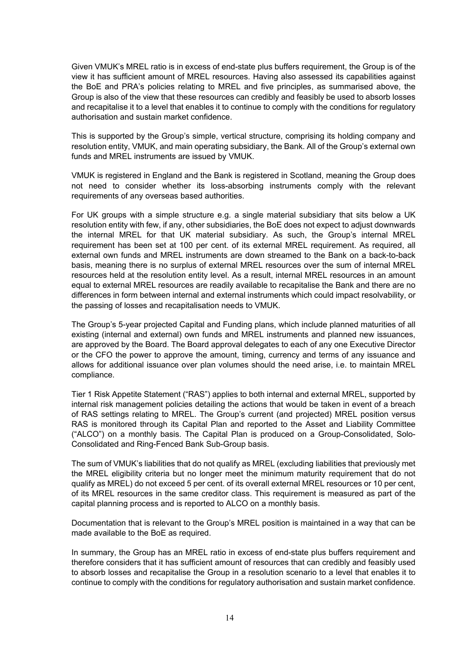Given VMUK's MREL ratio is in excess of end-state plus buffers requirement, the Group is of the view it has sufficient amount of MREL resources. Having also assessed its capabilities against the BoE and PRA's policies relating to MREL and five principles, as summarised above, the Group is also of the view that these resources can credibly and feasibly be used to absorb losses and recapitalise it to a level that enables it to continue to comply with the conditions for regulatory authorisation and sustain market confidence.

This is supported by the Group's simple, vertical structure, comprising its holding company and resolution entity, VMUK, and main operating subsidiary, the Bank. All of the Group's external own funds and MREL instruments are issued by VMUK.

VMUK is registered in England and the Bank is registered in Scotland, meaning the Group does not need to consider whether its loss-absorbing instruments comply with the relevant requirements of any overseas based authorities.

For UK groups with a simple structure e.g. a single material subsidiary that sits below a UK resolution entity with few, if any, other subsidiaries, the BoE does not expect to adjust downwards the internal MREL for that UK material subsidiary. As such, the Group's internal MREL requirement has been set at 100 per cent. of its external MREL requirement. As required, all external own funds and MREL instruments are down streamed to the Bank on a back-to-back basis, meaning there is no surplus of external MREL resources over the sum of internal MREL resources held at the resolution entity level. As a result, internal MREL resources in an amount equal to external MREL resources are readily available to recapitalise the Bank and there are no differences in form between internal and external instruments which could impact resolvability, or the passing of losses and recapitalisation needs to VMUK.

The Group's 5-year projected Capital and Funding plans, which include planned maturities of all existing (internal and external) own funds and MREL instruments and planned new issuances, are approved by the Board. The Board approval delegates to each of any one Executive Director or the CFO the power to approve the amount, timing, currency and terms of any issuance and allows for additional issuance over plan volumes should the need arise, i.e. to maintain MREL compliance.

Tier 1 Risk Appetite Statement ("RAS") applies to both internal and external MREL, supported by internal risk management policies detailing the actions that would be taken in event of a breach of RAS settings relating to MREL. The Group's current (and projected) MREL position versus RAS is monitored through its Capital Plan and reported to the Asset and Liability Committee ("ALCO") on a monthly basis. The Capital Plan is produced on a Group-Consolidated, Solo-Consolidated and Ring-Fenced Bank Sub-Group basis.

The sum of VMUK's liabilities that do not qualify as MREL (excluding liabilities that previously met the MREL eligibility criteria but no longer meet the minimum maturity requirement that do not qualify as MREL) do not exceed 5 per cent. of its overall external MREL resources or 10 per cent, of its MREL resources in the same creditor class. This requirement is measured as part of the capital planning process and is reported to ALCO on a monthly basis.

Documentation that is relevant to the Group's MREL position is maintained in a way that can be made available to the BoE as required.

In summary, the Group has an MREL ratio in excess of end-state plus buffers requirement and therefore considers that it has sufficient amount of resources that can credibly and feasibly used to absorb losses and recapitalise the Group in a resolution scenario to a level that enables it to continue to comply with the conditions for regulatory authorisation and sustain market confidence.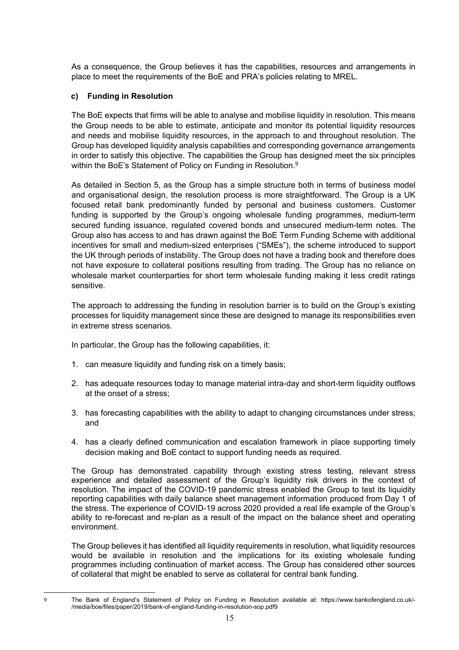As a consequence, the Group believes it has the capabilities, resources and arrangements in place to meet the requirements of the BoE and PRA's policies relating to MREL.

#### **c) Funding in Resolution**

The BoE expects that firms will be able to analyse and mobilise liquidity in resolution. This means the Group needs to be able to estimate, anticipate and monitor its potential liquidity resources and needs and mobilise liquidity resources, in the approach to and throughout resolution. The Group has developed liquidity analysis capabilities and corresponding governance arrangements in order to satisfy this objective. The capabilities the Group has designed meet the six principles within the BoE's Statement of Policy on Funding in Resolution.<sup>9</sup>

As detailed in Section 5, as the Group has a simple structure both in terms of business model and organisational design, the resolution process is more straightforward. The Group is a UK focused retail bank predominantly funded by personal and business customers. Customer funding is supported by the Group's ongoing wholesale funding programmes, medium-term secured funding issuance, regulated covered bonds and unsecured medium-term notes. The Group also has access to and has drawn against the BoE Term Funding Scheme with additional incentives for small and medium-sized enterprises ("SMEs"), the scheme introduced to support the UK through periods of instability. The Group does not have a trading book and therefore does not have exposure to collateral positions resulting from trading. The Group has no reliance on wholesale market counterparties for short term wholesale funding making it less credit ratings sensitive.

The approach to addressing the funding in resolution barrier is to build on the Group's existing processes for liquidity management since these are designed to manage its responsibilities even in extreme stress scenarios.

In particular, the Group has the following capabilities, it:

- 1. can measure liquidity and funding risk on a timely basis;
- 2. has adequate resources today to manage material intra-day and short-term liquidity outflows at the onset of a stress;
- 3. has forecasting capabilities with the ability to adapt to changing circumstances under stress; and
- 4. has a clearly defined communication and escalation framework in place supporting timely decision making and BoE contact to support funding needs as required.

The Group has demonstrated capability through existing stress testing, relevant stress experience and detailed assessment of the Group's liquidity risk drivers in the context of resolution. The impact of the COVID-19 pandemic stress enabled the Group to test its liquidity reporting capabilities with daily balance sheet management information produced from Day 1 of the stress. The experience of COVID-19 across 2020 provided a real life example of the Group's ability to re-forecast and re-plan as a result of the impact on the balance sheet and operating environment.

The Group believes it has identified all liquidity requirements in resolution, what liquidity resources would be available in resolution and the implications for its existing wholesale funding programmes including continuation of market access. The Group has considered other sources of collateral that might be enabled to serve as collateral for central bank funding.

<sup>9</sup> The Bank of England's Statement of Policy on Funding in Resolution available at: https://www.bankofengland.co.uk/- /media/boe/files/paper/2019/bank-of-england-funding-in-resolution-sop.pdf9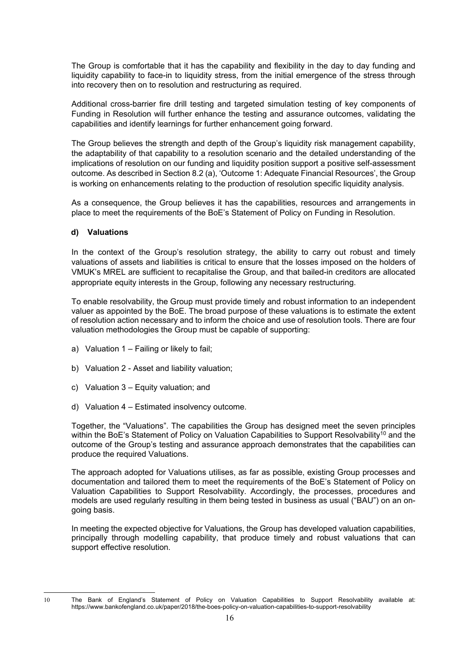The Group is comfortable that it has the capability and flexibility in the day to day funding and liquidity capability to face-in to liquidity stress, from the initial emergence of the stress through into recovery then on to resolution and restructuring as required.

Additional cross-barrier fire drill testing and targeted simulation testing of key components of Funding in Resolution will further enhance the testing and assurance outcomes, validating the capabilities and identify learnings for further enhancement going forward.

The Group believes the strength and depth of the Group's liquidity risk management capability, the adaptability of that capability to a resolution scenario and the detailed understanding of the implications of resolution on our funding and liquidity position support a positive self-assessment outcome. As described in Section 8.2 (a), 'Outcome 1: Adequate Financial Resources', the Group is working on enhancements relating to the production of resolution specific liquidity analysis.

As a consequence, the Group believes it has the capabilities, resources and arrangements in place to meet the requirements of the BoE's Statement of Policy on Funding in Resolution.

#### **d) Valuations**

In the context of the Group's resolution strategy, the ability to carry out robust and timely valuations of assets and liabilities is critical to ensure that the losses imposed on the holders of VMUK's MREL are sufficient to recapitalise the Group, and that bailed-in creditors are allocated appropriate equity interests in the Group, following any necessary restructuring.

To enable resolvability, the Group must provide timely and robust information to an independent valuer as appointed by the BoE. The broad purpose of these valuations is to estimate the extent of resolution action necessary and to inform the choice and use of resolution tools. There are four valuation methodologies the Group must be capable of supporting:

- a) Valuation 1 Failing or likely to fail;
- b) Valuation 2 Asset and liability valuation;
- c) Valuation 3 Equity valuation; and
- d) Valuation 4 Estimated insolvency outcome.

Together, the "Valuations". The capabilities the Group has designed meet the seven principles within the BoE's Statement of Policy on Valuation Capabilities to Support Resolvability<sup>10</sup> and the outcome of the Group's testing and assurance approach demonstrates that the capabilities can produce the required Valuations.

The approach adopted for Valuations utilises, as far as possible, existing Group processes and documentation and tailored them to meet the requirements of the BoE's Statement of Policy on Valuation Capabilities to Support Resolvability. Accordingly, the processes, procedures and models are used regularly resulting in them being tested in business as usual ("BAU") on an ongoing basis.

In meeting the expected objective for Valuations, the Group has developed valuation capabilities, principally through modelling capability, that produce timely and robust valuations that can support effective resolution.

<sup>10</sup> The Bank of England's Statement of Policy on Valuation Capabilities to Support Resolvability available at: https://www.bankofengland.co.uk/paper/2018/the-boes-policy-on-valuation-capabilities-to-support-resolvability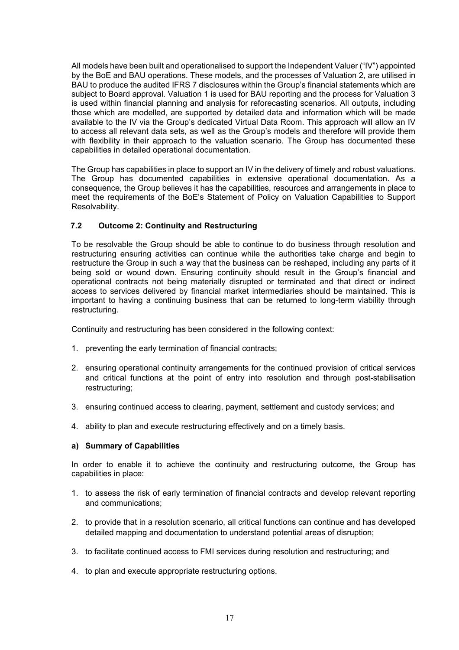All models have been built and operationalised to support the Independent Valuer ("IV") appointed by the BoE and BAU operations. These models, and the processes of Valuation 2, are utilised in BAU to produce the audited IFRS 7 disclosures within the Group's financial statements which are subject to Board approval. Valuation 1 is used for BAU reporting and the process for Valuation 3 is used within financial planning and analysis for reforecasting scenarios. All outputs, including those which are modelled, are supported by detailed data and information which will be made available to the IV via the Group's dedicated Virtual Data Room. This approach will allow an IV to access all relevant data sets, as well as the Group's models and therefore will provide them with flexibility in their approach to the valuation scenario. The Group has documented these capabilities in detailed operational documentation.

The Group has capabilities in place to support an IV in the delivery of timely and robust valuations. The Group has documented capabilities in extensive operational documentation. As a consequence, the Group believes it has the capabilities, resources and arrangements in place to meet the requirements of the BoE's Statement of Policy on Valuation Capabilities to Support Resolvability.

#### **7.2 Outcome 2: Continuity and Restructuring**

To be resolvable the Group should be able to continue to do business through resolution and restructuring ensuring activities can continue while the authorities take charge and begin to restructure the Group in such a way that the business can be reshaped, including any parts of it being sold or wound down. Ensuring continuity should result in the Group's financial and operational contracts not being materially disrupted or terminated and that direct or indirect access to services delivered by financial market intermediaries should be maintained. This is important to having a continuing business that can be returned to long-term viability through restructuring.

Continuity and restructuring has been considered in the following context:

- 1. preventing the early termination of financial contracts;
- 2. ensuring operational continuity arrangements for the continued provision of critical services and critical functions at the point of entry into resolution and through post-stabilisation restructuring;
- 3. ensuring continued access to clearing, payment, settlement and custody services; and
- 4. ability to plan and execute restructuring effectively and on a timely basis.

#### **a) Summary of Capabilities**

In order to enable it to achieve the continuity and restructuring outcome, the Group has capabilities in place:

- 1. to assess the risk of early termination of financial contracts and develop relevant reporting and communications;
- 2. to provide that in a resolution scenario, all critical functions can continue and has developed detailed mapping and documentation to understand potential areas of disruption;
- 3. to facilitate continued access to FMI services during resolution and restructuring; and
- 4. to plan and execute appropriate restructuring options.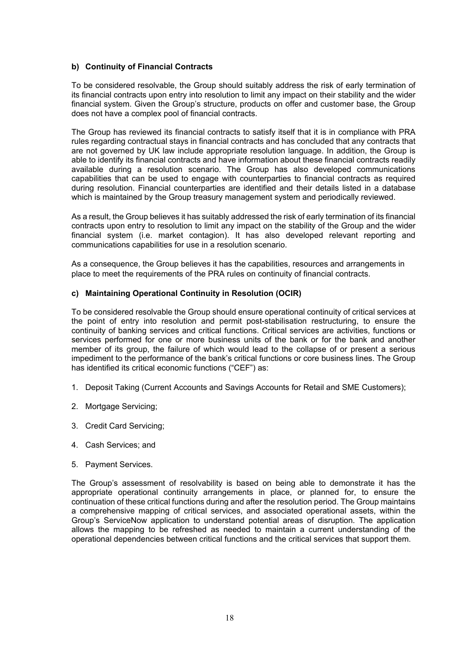#### **b) Continuity of Financial Contracts**

To be considered resolvable, the Group should suitably address the risk of early termination of its financial contracts upon entry into resolution to limit any impact on their stability and the wider financial system. Given the Group's structure, products on offer and customer base, the Group does not have a complex pool of financial contracts.

The Group has reviewed its financial contracts to satisfy itself that it is in compliance with PRA rules regarding contractual stays in financial contracts and has concluded that any contracts that are not governed by UK law include appropriate resolution language. In addition, the Group is able to identify its financial contracts and have information about these financial contracts readily available during a resolution scenario. The Group has also developed communications capabilities that can be used to engage with counterparties to financial contracts as required during resolution. Financial counterparties are identified and their details listed in a database which is maintained by the Group treasury management system and periodically reviewed.

As a result, the Group believes it has suitably addressed the risk of early termination of its financial contracts upon entry to resolution to limit any impact on the stability of the Group and the wider financial system (i.e. market contagion). It has also developed relevant reporting and communications capabilities for use in a resolution scenario.

As a consequence, the Group believes it has the capabilities, resources and arrangements in place to meet the requirements of the PRA rules on continuity of financial contracts.

#### **c) Maintaining Operational Continuity in Resolution (OCIR)**

To be considered resolvable the Group should ensure operational continuity of critical services at the point of entry into resolution and permit post-stabilisation restructuring, to ensure the continuity of banking services and critical functions. Critical services are activities, functions or services performed for one or more business units of the bank or for the bank and another member of its group, the failure of which would lead to the collapse of or present a serious impediment to the performance of the bank's critical functions or core business lines. The Group has identified its critical economic functions ("CEF") as:

- 1. Deposit Taking (Current Accounts and Savings Accounts for Retail and SME Customers);
- 2. Mortgage Servicing;
- 3. Credit Card Servicing;
- 4. Cash Services; and
- 5. Payment Services.

The Group's assessment of resolvability is based on being able to demonstrate it has the appropriate operational continuity arrangements in place, or planned for, to ensure the continuation of these critical functions during and after the resolution period. The Group maintains a comprehensive mapping of critical services, and associated operational assets, within the Group's ServiceNow application to understand potential areas of disruption. The application allows the mapping to be refreshed as needed to maintain a current understanding of the operational dependencies between critical functions and the critical services that support them.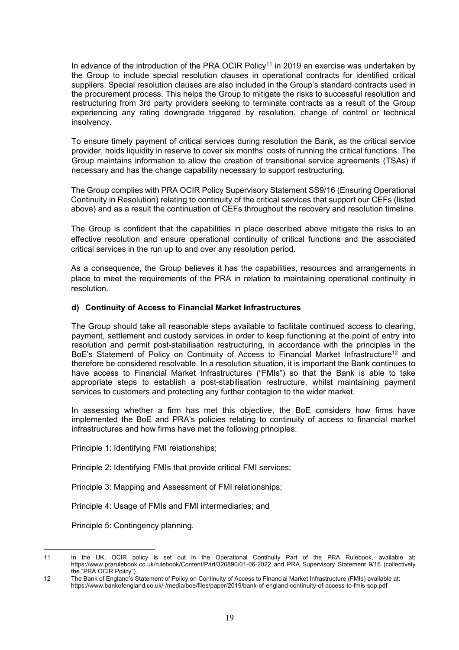In advance of the introduction of the PRA OCIR Policy<sup>11</sup> in 2019 an exercise was undertaken by the Group to include special resolution clauses in operational contracts for identified critical suppliers. Special resolution clauses are also included in the Group's standard contracts used in the procurement process. This helps the Group to mitigate the risks to successful resolution and restructuring from 3rd party providers seeking to terminate contracts as a result of the Group experiencing any rating downgrade triggered by resolution, change of control or technical insolvency.

To ensure timely payment of critical services during resolution the Bank, as the critical service provider, holds liquidity in reserve to cover six months' costs of running the critical functions. The Group maintains information to allow the creation of transitional service agreements (TSAs) if necessary and has the change capability necessary to support restructuring.

The Group complies with PRA OCIR Policy Supervisory Statement SS9/16 (Ensuring Operational Continuity in Resolution) relating to continuity of the critical services that support our CEFs (listed above) and as a result the continuation of CEFs throughout the recovery and resolution timeline.

The Group is confident that the capabilities in place described above mitigate the risks to an effective resolution and ensure operational continuity of critical functions and the associated critical services in the run up to and over any resolution period.

As a consequence, the Group believes it has the capabilities, resources and arrangements in place to meet the requirements of the PRA in relation to maintaining operational continuity in resolution.

#### **d) Continuity of Access to Financial Market Infrastructures**

The Group should take all reasonable steps available to facilitate continued access to clearing, payment, settlement and custody services in order to keep functioning at the point of entry into resolution and permit post-stabilisation restructuring, in accordance with the principles in the BoE's Statement of Policy on Continuity of Access to Financial Market Infrastructure<sup>12</sup> and therefore be considered resolvable. In a resolution situation, it is important the Bank continues to have access to Financial Market Infrastructures ("FMIs") so that the Bank is able to take appropriate steps to establish a post-stabilisation restructure, whilst maintaining payment services to customers and protecting any further contagion to the wider market.

In assessing whether a firm has met this objective, the BoE considers how firms have implemented the BoE and PRA's policies relating to continuity of access to financial market infrastructures and how firms have met the following principles:

Principle 1: Identifying FMI relationships;

Principle 2: Identifying FMIs that provide critical FMI services;

Principle 3: Mapping and Assessment of FMI relationships;

Principle 4: Usage of FMIs and FMI intermediaries; and

Principle 5: Contingency planning.

<sup>11</sup> In the UK, OCIR policy is set out in the Operational Continuity Part of the PRA Rulebook, available at: https://www.prarulebook.co.uk/rulebook/Content/Part/320890/01-06-2022 and PRA Supervisory Statement 9/16 (collectively the "PRA OCIR Policy").

<sup>12</sup> The Bank of England's Statement of Policy on Continuity of Access to Financial Market Infrastructure (FMIs) available at: https://www.bankofengland.co.uk/-/media/boe/files/paper/2019/bank-of-england-continuity-of-access-to-fmis-sop.pdf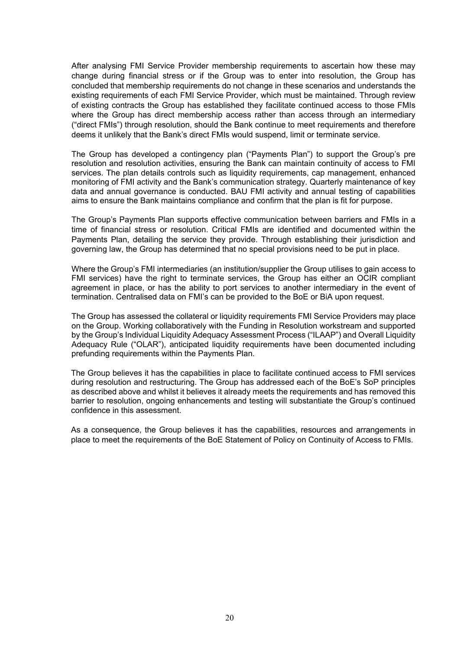After analysing FMI Service Provider membership requirements to ascertain how these may change during financial stress or if the Group was to enter into resolution, the Group has concluded that membership requirements do not change in these scenarios and understands the existing requirements of each FMI Service Provider, which must be maintained. Through review of existing contracts the Group has established they facilitate continued access to those FMIs where the Group has direct membership access rather than access through an intermediary ("direct FMIs") through resolution, should the Bank continue to meet requirements and therefore deems it unlikely that the Bank's direct FMIs would suspend, limit or terminate service.

The Group has developed a contingency plan ("Payments Plan") to support the Group's pre resolution and resolution activities, ensuring the Bank can maintain continuity of access to FMI services. The plan details controls such as liquidity requirements, cap management, enhanced monitoring of FMI activity and the Bank's communication strategy. Quarterly maintenance of key data and annual governance is conducted. BAU FMI activity and annual testing of capabilities aims to ensure the Bank maintains compliance and confirm that the plan is fit for purpose.

The Group's Payments Plan supports effective communication between barriers and FMIs in a time of financial stress or resolution. Critical FMIs are identified and documented within the Payments Plan, detailing the service they provide. Through establishing their jurisdiction and governing law, the Group has determined that no special provisions need to be put in place.

Where the Group's FMI intermediaries (an institution/supplier the Group utilises to gain access to FMI services) have the right to terminate services, the Group has either an OCIR compliant agreement in place, or has the ability to port services to another intermediary in the event of termination. Centralised data on FMI's can be provided to the BoE or BiA upon request.

The Group has assessed the collateral or liquidity requirements FMI Service Providers may place on the Group. Working collaboratively with the Funding in Resolution workstream and supported by the Group's Individual Liquidity Adequacy Assessment Process ("ILAAP") and Overall Liquidity Adequacy Rule ("OLAR"), anticipated liquidity requirements have been documented including prefunding requirements within the Payments Plan.

The Group believes it has the capabilities in place to facilitate continued access to FMI services during resolution and restructuring. The Group has addressed each of the BoE's SoP principles as described above and whilst it believes it already meets the requirements and has removed this barrier to resolution, ongoing enhancements and testing will substantiate the Group's continued confidence in this assessment.

As a consequence, the Group believes it has the capabilities, resources and arrangements in place to meet the requirements of the BoE Statement of Policy on Continuity of Access to FMIs.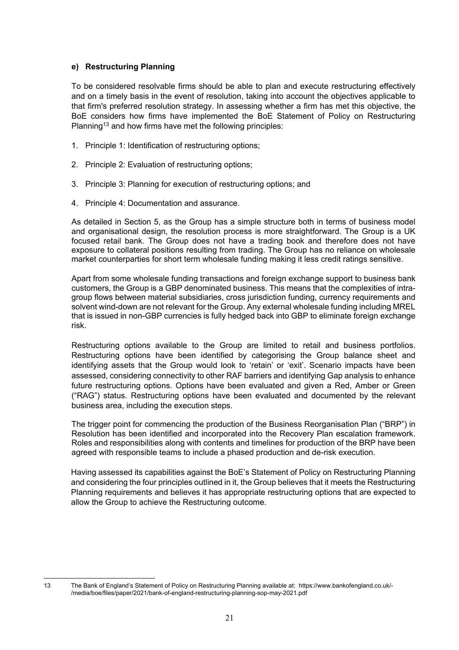#### **e) Restructuring Planning**

To be considered resolvable firms should be able to plan and execute restructuring effectively and on a timely basis in the event of resolution, taking into account the objectives applicable to that firm's preferred resolution strategy. In assessing whether a firm has met this objective, the BoE considers how firms have implemented the BoE Statement of Policy on Restructuring Planning<sup>13</sup> and how firms have met the following principles:

- 1. Principle 1: Identification of restructuring options;
- 2. Principle 2: Evaluation of restructuring options;
- 3. Principle 3: Planning for execution of restructuring options; and
- 4. Principle 4: Documentation and assurance.

As detailed in Section 5, as the Group has a simple structure both in terms of business model and organisational design, the resolution process is more straightforward. The Group is a UK focused retail bank. The Group does not have a trading book and therefore does not have exposure to collateral positions resulting from trading. The Group has no reliance on wholesale market counterparties for short term wholesale funding making it less credit ratings sensitive.

Apart from some wholesale funding transactions and foreign exchange support to business bank customers, the Group is a GBP denominated business. This means that the complexities of intragroup flows between material subsidiaries, cross jurisdiction funding, currency requirements and solvent wind-down are not relevant for the Group. Any external wholesale funding including MREL that is issued in non-GBP currencies is fully hedged back into GBP to eliminate foreign exchange risk.

Restructuring options available to the Group are limited to retail and business portfolios. Restructuring options have been identified by categorising the Group balance sheet and identifying assets that the Group would look to 'retain' or 'exit'. Scenario impacts have been assessed, considering connectivity to other RAF barriers and identifying Gap analysis to enhance future restructuring options. Options have been evaluated and given a Red, Amber or Green ("RAG") status. Restructuring options have been evaluated and documented by the relevant business area, including the execution steps.

The trigger point for commencing the production of the Business Reorganisation Plan ("BRP") in Resolution has been identified and incorporated into the Recovery Plan escalation framework. Roles and responsibilities along with contents and timelines for production of the BRP have been agreed with responsible teams to include a phased production and de-risk execution.

Having assessed its capabilities against the BoE's Statement of Policy on Restructuring Planning and considering the four principles outlined in it, the Group believes that it meets the Restructuring Planning requirements and believes it has appropriate restructuring options that are expected to allow the Group to achieve the Restructuring outcome.

<sup>13</sup> The Bank of England's Statement of Policy on Restructuring Planning available at: https://www.bankofengland.co.uk/- /media/boe/files/paper/2021/bank-of-england-restructuring-planning-sop-may-2021.pdf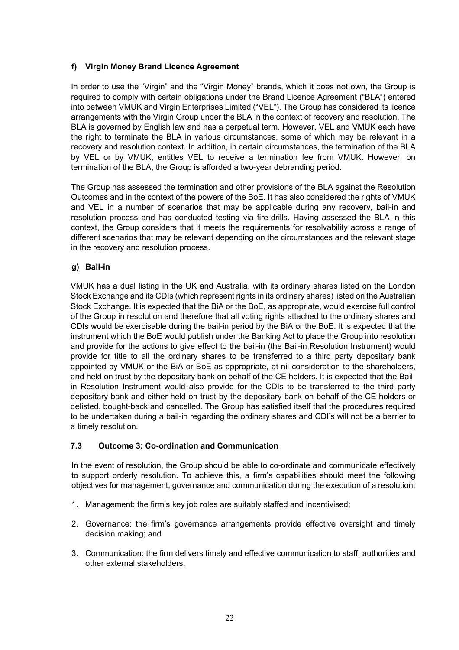# **f) Virgin Money Brand Licence Agreement**

In order to use the "Virgin" and the "Virgin Money" brands, which it does not own, the Group is required to comply with certain obligations under the Brand Licence Agreement ("BLA") entered into between VMUK and Virgin Enterprises Limited ("VEL"). The Group has considered its licence arrangements with the Virgin Group under the BLA in the context of recovery and resolution. The BLA is governed by English law and has a perpetual term. However, VEL and VMUK each have the right to terminate the BLA in various circumstances, some of which may be relevant in a recovery and resolution context. In addition, in certain circumstances, the termination of the BLA by VEL or by VMUK, entitles VEL to receive a termination fee from VMUK. However, on termination of the BLA, the Group is afforded a two-year debranding period.

The Group has assessed the termination and other provisions of the BLA against the Resolution Outcomes and in the context of the powers of the BoE. It has also considered the rights of VMUK and VEL in a number of scenarios that may be applicable during any recovery, bail-in and resolution process and has conducted testing via fire-drills. Having assessed the BLA in this context, the Group considers that it meets the requirements for resolvability across a range of different scenarios that may be relevant depending on the circumstances and the relevant stage in the recovery and resolution process.

# **g) Bail-in**

VMUK has a dual listing in the UK and Australia, with its ordinary shares listed on the London Stock Exchange and its CDIs (which represent rights in its ordinary shares) listed on the Australian Stock Exchange. It is expected that the BiA or the BoE, as appropriate, would exercise full control of the Group in resolution and therefore that all voting rights attached to the ordinary shares and CDIs would be exercisable during the bail-in period by the BiA or the BoE. It is expected that the instrument which the BoE would publish under the Banking Act to place the Group into resolution and provide for the actions to give effect to the bail-in (the Bail-in Resolution Instrument) would provide for title to all the ordinary shares to be transferred to a third party depositary bank appointed by VMUK or the BiA or BoE as appropriate, at nil consideration to the shareholders, and held on trust by the depositary bank on behalf of the CE holders. It is expected that the Bailin Resolution Instrument would also provide for the CDIs to be transferred to the third party depositary bank and either held on trust by the depositary bank on behalf of the CE holders or delisted, bought-back and cancelled. The Group has satisfied itself that the procedures required to be undertaken during a bail-in regarding the ordinary shares and CDI's will not be a barrier to a timely resolution.

## **7.3 Outcome 3: Co-ordination and Communication**

In the event of resolution, the Group should be able to co-ordinate and communicate effectively to support orderly resolution. To achieve this, a firm's capabilities should meet the following objectives for management, governance and communication during the execution of a resolution:

- 1. Management: the firm's key job roles are suitably staffed and incentivised;
- 2. Governance: the firm's governance arrangements provide effective oversight and timely decision making; and
- 3. Communication: the firm delivers timely and effective communication to staff, authorities and other external stakeholders.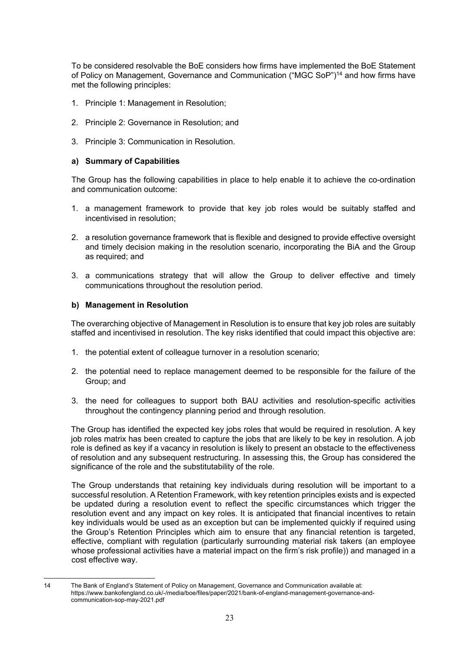To be considered resolvable the BoE considers how firms have implemented the BoE Statement of Policy on Management, Governance and Communication ("MGC SoP")14 and how firms have met the following principles:

- 1. Principle 1: Management in Resolution;
- 2. Principle 2: Governance in Resolution; and
- 3. Principle 3: Communication in Resolution.

#### **a) Summary of Capabilities**

The Group has the following capabilities in place to help enable it to achieve the co-ordination and communication outcome:

- 1. a management framework to provide that key job roles would be suitably staffed and incentivised in resolution;
- 2. a resolution governance framework that is flexible and designed to provide effective oversight and timely decision making in the resolution scenario, incorporating the BiA and the Group as required; and
- 3. a communications strategy that will allow the Group to deliver effective and timely communications throughout the resolution period.

#### **b) Management in Resolution**

The overarching objective of Management in Resolution is to ensure that key job roles are suitably staffed and incentivised in resolution. The key risks identified that could impact this objective are:

- 1. the potential extent of colleague turnover in a resolution scenario;
- 2. the potential need to replace management deemed to be responsible for the failure of the Group; and
- 3. the need for colleagues to support both BAU activities and resolution-specific activities throughout the contingency planning period and through resolution.

The Group has identified the expected key jobs roles that would be required in resolution. A key job roles matrix has been created to capture the jobs that are likely to be key in resolution. A job role is defined as key if a vacancy in resolution is likely to present an obstacle to the effectiveness of resolution and any subsequent restructuring. In assessing this, the Group has considered the significance of the role and the substitutability of the role.

The Group understands that retaining key individuals during resolution will be important to a successful resolution. A Retention Framework, with key retention principles exists and is expected be updated during a resolution event to reflect the specific circumstances which trigger the resolution event and any impact on key roles. It is anticipated that financial incentives to retain key individuals would be used as an exception but can be implemented quickly if required using the Group's Retention Principles which aim to ensure that any financial retention is targeted, effective, compliant with regulation (particularly surrounding material risk takers (an employee whose professional activities have a material impact on the firm's risk profile)) and managed in a cost effective way.

<sup>14</sup> The Bank of England's Statement of Policy on Management, Governance and Communication available at: https://www.bankofengland.co.uk/-/media/boe/files/paper/2021/bank-of-england-management-governance-andcommunication-sop-may-2021.pdf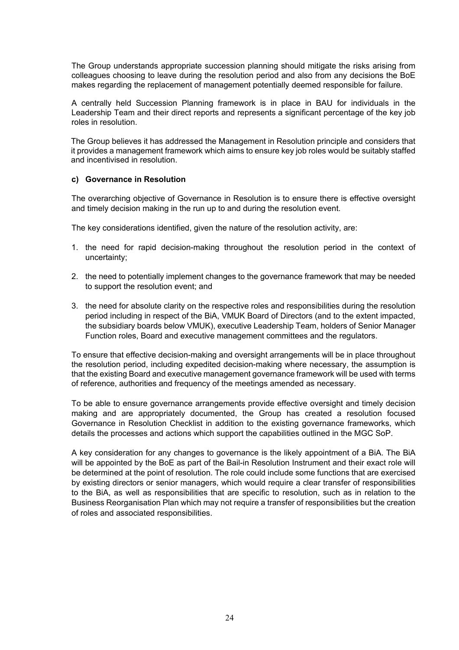The Group understands appropriate succession planning should mitigate the risks arising from colleagues choosing to leave during the resolution period and also from any decisions the BoE makes regarding the replacement of management potentially deemed responsible for failure.

A centrally held Succession Planning framework is in place in BAU for individuals in the Leadership Team and their direct reports and represents a significant percentage of the key job roles in resolution.

The Group believes it has addressed the Management in Resolution principle and considers that it provides a management framework which aims to ensure key job roles would be suitably staffed and incentivised in resolution.

#### **c) Governance in Resolution**

The overarching objective of Governance in Resolution is to ensure there is effective oversight and timely decision making in the run up to and during the resolution event.

The key considerations identified, given the nature of the resolution activity, are:

- 1. the need for rapid decision-making throughout the resolution period in the context of uncertainty;
- 2. the need to potentially implement changes to the governance framework that may be needed to support the resolution event; and
- 3. the need for absolute clarity on the respective roles and responsibilities during the resolution period including in respect of the BiA, VMUK Board of Directors (and to the extent impacted, the subsidiary boards below VMUK), executive Leadership Team, holders of Senior Manager Function roles, Board and executive management committees and the regulators.

To ensure that effective decision-making and oversight arrangements will be in place throughout the resolution period, including expedited decision-making where necessary, the assumption is that the existing Board and executive management governance framework will be used with terms of reference, authorities and frequency of the meetings amended as necessary.

To be able to ensure governance arrangements provide effective oversight and timely decision making and are appropriately documented, the Group has created a resolution focused Governance in Resolution Checklist in addition to the existing governance frameworks, which details the processes and actions which support the capabilities outlined in the MGC SoP.

A key consideration for any changes to governance is the likely appointment of a BiA. The BiA will be appointed by the BoE as part of the Bail-in Resolution Instrument and their exact role will be determined at the point of resolution. The role could include some functions that are exercised by existing directors or senior managers, which would require a clear transfer of responsibilities to the BiA, as well as responsibilities that are specific to resolution, such as in relation to the Business Reorganisation Plan which may not require a transfer of responsibilities but the creation of roles and associated responsibilities.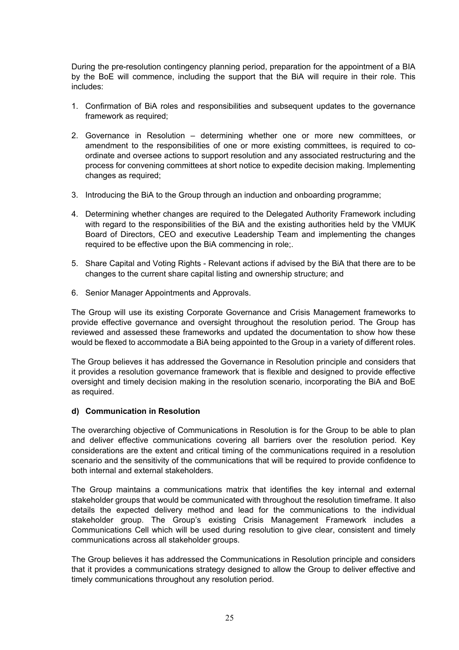During the pre-resolution contingency planning period, preparation for the appointment of a BIA by the BoE will commence, including the support that the BiA will require in their role. This includes:

- 1. Confirmation of BiA roles and responsibilities and subsequent updates to the governance framework as required;
- 2. Governance in Resolution determining whether one or more new committees, or amendment to the responsibilities of one or more existing committees, is required to coordinate and oversee actions to support resolution and any associated restructuring and the process for convening committees at short notice to expedite decision making. Implementing changes as required;
- 3. Introducing the BiA to the Group through an induction and onboarding programme;
- 4. Determining whether changes are required to the Delegated Authority Framework including with regard to the responsibilities of the BiA and the existing authorities held by the VMUK Board of Directors, CEO and executive Leadership Team and implementing the changes required to be effective upon the BiA commencing in role;.
- 5. Share Capital and Voting Rights Relevant actions if advised by the BiA that there are to be changes to the current share capital listing and ownership structure; and
- 6. Senior Manager Appointments and Approvals.

The Group will use its existing Corporate Governance and Crisis Management frameworks to provide effective governance and oversight throughout the resolution period. The Group has reviewed and assessed these frameworks and updated the documentation to show how these would be flexed to accommodate a BiA being appointed to the Group in a variety of different roles.

The Group believes it has addressed the Governance in Resolution principle and considers that it provides a resolution governance framework that is flexible and designed to provide effective oversight and timely decision making in the resolution scenario, incorporating the BiA and BoE as required.

#### **d) Communication in Resolution**

The overarching objective of Communications in Resolution is for the Group to be able to plan and deliver effective communications covering all barriers over the resolution period. Key considerations are the extent and critical timing of the communications required in a resolution scenario and the sensitivity of the communications that will be required to provide confidence to both internal and external stakeholders.

The Group maintains a communications matrix that identifies the key internal and external stakeholder groups that would be communicated with throughout the resolution timeframe. It also details the expected delivery method and lead for the communications to the individual stakeholder group. The Group's existing Crisis Management Framework includes a Communications Cell which will be used during resolution to give clear, consistent and timely communications across all stakeholder groups.

The Group believes it has addressed the Communications in Resolution principle and considers that it provides a communications strategy designed to allow the Group to deliver effective and timely communications throughout any resolution period.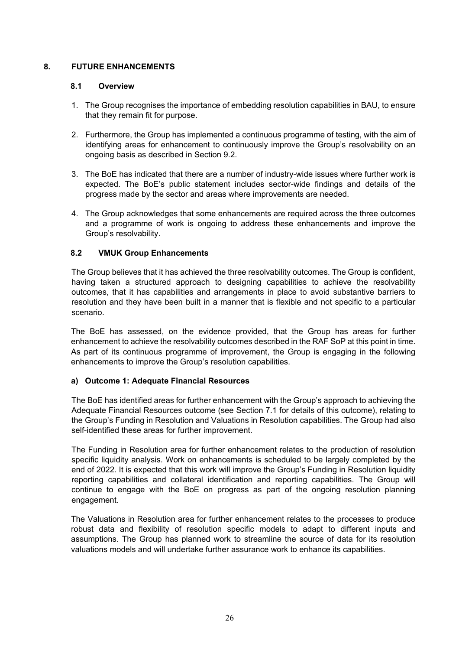# **8. FUTURE ENHANCEMENTS**

#### **8.1 Overview**

- 1. The Group recognises the importance of embedding resolution capabilities in BAU, to ensure that they remain fit for purpose.
- 2. Furthermore, the Group has implemented a continuous programme of testing, with the aim of identifying areas for enhancement to continuously improve the Group's resolvability on an ongoing basis as described in Section 9.2.
- 3. The BoE has indicated that there are a number of industry-wide issues where further work is expected. The BoE's public statement includes sector-wide findings and details of the progress made by the sector and areas where improvements are needed.
- 4. The Group acknowledges that some enhancements are required across the three outcomes and a programme of work is ongoing to address these enhancements and improve the Group's resolvability.

## **8.2 VMUK Group Enhancements**

The Group believes that it has achieved the three resolvability outcomes. The Group is confident, having taken a structured approach to designing capabilities to achieve the resolvability outcomes, that it has capabilities and arrangements in place to avoid substantive barriers to resolution and they have been built in a manner that is flexible and not specific to a particular scenario.

The BoE has assessed, on the evidence provided, that the Group has areas for further enhancement to achieve the resolvability outcomes described in the RAF SoP at this point in time. As part of its continuous programme of improvement, the Group is engaging in the following enhancements to improve the Group's resolution capabilities.

## **a) Outcome 1: Adequate Financial Resources**

The BoE has identified areas for further enhancement with the Group's approach to achieving the Adequate Financial Resources outcome (see Section 7.1 for details of this outcome), relating to the Group's Funding in Resolution and Valuations in Resolution capabilities. The Group had also self-identified these areas for further improvement.

The Funding in Resolution area for further enhancement relates to the production of resolution specific liquidity analysis. Work on enhancements is scheduled to be largely completed by the end of 2022. It is expected that this work will improve the Group's Funding in Resolution liquidity reporting capabilities and collateral identification and reporting capabilities. The Group will continue to engage with the BoE on progress as part of the ongoing resolution planning engagement.

The Valuations in Resolution area for further enhancement relates to the processes to produce robust data and flexibility of resolution specific models to adapt to different inputs and assumptions. The Group has planned work to streamline the source of data for its resolution valuations models and will undertake further assurance work to enhance its capabilities.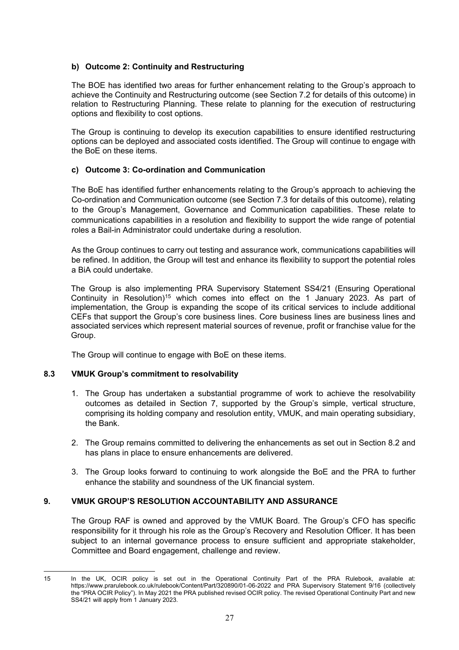# **b) Outcome 2: Continuity and Restructuring**

The BOE has identified two areas for further enhancement relating to the Group's approach to achieve the Continuity and Restructuring outcome (see Section 7.2 for details of this outcome) in relation to Restructuring Planning. These relate to planning for the execution of restructuring options and flexibility to cost options.

The Group is continuing to develop its execution capabilities to ensure identified restructuring options can be deployed and associated costs identified. The Group will continue to engage with the BoE on these items.

## **c) Outcome 3: Co-ordination and Communication**

The BoE has identified further enhancements relating to the Group's approach to achieving the Co-ordination and Communication outcome (see Section 7.3 for details of this outcome), relating to the Group's Management, Governance and Communication capabilities. These relate to communications capabilities in a resolution and flexibility to support the wide range of potential roles a Bail-in Administrator could undertake during a resolution.

As the Group continues to carry out testing and assurance work, communications capabilities will be refined. In addition, the Group will test and enhance its flexibility to support the potential roles a BiA could undertake.

The Group is also implementing PRA Supervisory Statement SS4/21 (Ensuring Operational Continuity in Resolution)<sup>15</sup> which comes into effect on the 1 January 2023. As part of implementation, the Group is expanding the scope of its critical services to include additional CEFs that support the Group's core business lines. Core business lines are business lines and associated services which represent material sources of revenue, profit or franchise value for the Group.

The Group will continue to engage with BoE on these items.

## **8.3 VMUK Group's commitment to resolvability**

- 1. The Group has undertaken a substantial programme of work to achieve the resolvability outcomes as detailed in Section 7, supported by the Group's simple, vertical structure, comprising its holding company and resolution entity, VMUK, and main operating subsidiary, the Bank.
- 2. The Group remains committed to delivering the enhancements as set out in Section 8.2 and has plans in place to ensure enhancements are delivered.
- 3. The Group looks forward to continuing to work alongside the BoE and the PRA to further enhance the stability and soundness of the UK financial system.

# **9. VMUK GROUP'S RESOLUTION ACCOUNTABILITY AND ASSURANCE**

The Group RAF is owned and approved by the VMUK Board. The Group's CFO has specific responsibility for it through his role as the Group's Recovery and Resolution Officer. It has been subject to an internal governance process to ensure sufficient and appropriate stakeholder, Committee and Board engagement, challenge and review.

<sup>15</sup> In the UK, OCIR policy is set out in the Operational Continuity Part of the PRA Rulebook, available at: https://www.prarulebook.co.uk/rulebook/Content/Part/320890/01-06-2022 and PRA Supervisory Statement 9/16 (collectively the "PRA OCIR Policy"). In May 2021 the PRA published revised OCIR policy. The revised Operational Continuity Part and new SS4/21 will apply from 1 January 2023.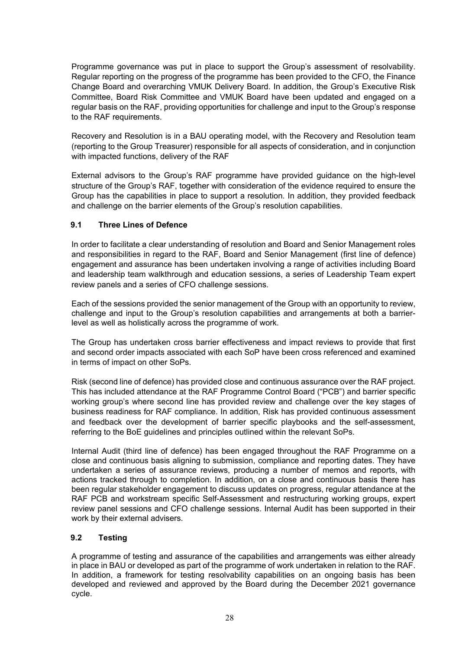Programme governance was put in place to support the Group's assessment of resolvability. Regular reporting on the progress of the programme has been provided to the CFO, the Finance Change Board and overarching VMUK Delivery Board. In addition, the Group's Executive Risk Committee, Board Risk Committee and VMUK Board have been updated and engaged on a regular basis on the RAF, providing opportunities for challenge and input to the Group's response to the RAF requirements.

Recovery and Resolution is in a BAU operating model, with the Recovery and Resolution team (reporting to the Group Treasurer) responsible for all aspects of consideration, and in conjunction with impacted functions, delivery of the RAF

External advisors to the Group's RAF programme have provided guidance on the high-level structure of the Group's RAF, together with consideration of the evidence required to ensure the Group has the capabilities in place to support a resolution. In addition, they provided feedback and challenge on the barrier elements of the Group's resolution capabilities.

# **9.1 Three Lines of Defence**

In order to facilitate a clear understanding of resolution and Board and Senior Management roles and responsibilities in regard to the RAF, Board and Senior Management (first line of defence) engagement and assurance has been undertaken involving a range of activities including Board and leadership team walkthrough and education sessions, a series of Leadership Team expert review panels and a series of CFO challenge sessions.

Each of the sessions provided the senior management of the Group with an opportunity to review, challenge and input to the Group's resolution capabilities and arrangements at both a barrierlevel as well as holistically across the programme of work.

The Group has undertaken cross barrier effectiveness and impact reviews to provide that first and second order impacts associated with each SoP have been cross referenced and examined in terms of impact on other SoPs.

Risk (second line of defence) has provided close and continuous assurance over the RAF project. This has included attendance at the RAF Programme Control Board ("PCB") and barrier specific working group's where second line has provided review and challenge over the key stages of business readiness for RAF compliance. In addition, Risk has provided continuous assessment and feedback over the development of barrier specific playbooks and the self-assessment, referring to the BoE guidelines and principles outlined within the relevant SoPs.

Internal Audit (third line of defence) has been engaged throughout the RAF Programme on a close and continuous basis aligning to submission, compliance and reporting dates. They have undertaken a series of assurance reviews, producing a number of memos and reports, with actions tracked through to completion. In addition, on a close and continuous basis there has been regular stakeholder engagement to discuss updates on progress, regular attendance at the RAF PCB and workstream specific Self-Assessment and restructuring working groups, expert review panel sessions and CFO challenge sessions. Internal Audit has been supported in their work by their external advisers.

## **9.2 Testing**

A programme of testing and assurance of the capabilities and arrangements was either already in place in BAU or developed as part of the programme of work undertaken in relation to the RAF. In addition, a framework for testing resolvability capabilities on an ongoing basis has been developed and reviewed and approved by the Board during the December 2021 governance cycle.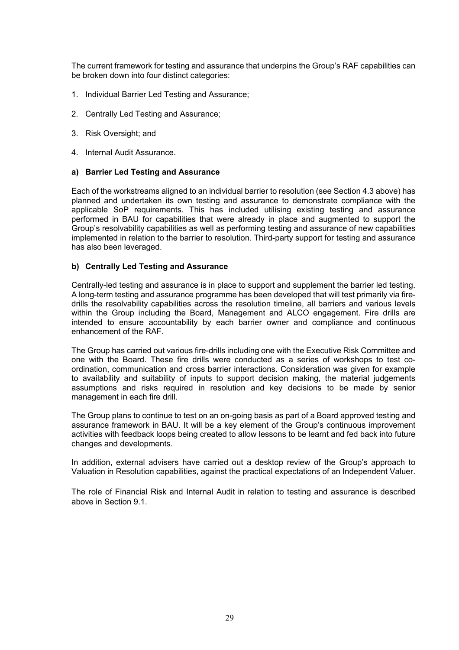The current framework for testing and assurance that underpins the Group's RAF capabilities can be broken down into four distinct categories:

- 1. Individual Barrier Led Testing and Assurance;
- 2. Centrally Led Testing and Assurance;
- 3. Risk Oversight; and
- 4. Internal Audit Assurance.

#### **a) Barrier Led Testing and Assurance**

Each of the workstreams aligned to an individual barrier to resolution (see Section 4.3 above) has planned and undertaken its own testing and assurance to demonstrate compliance with the applicable SoP requirements. This has included utilising existing testing and assurance performed in BAU for capabilities that were already in place and augmented to support the Group's resolvability capabilities as well as performing testing and assurance of new capabilities implemented in relation to the barrier to resolution. Third-party support for testing and assurance has also been leveraged.

#### **b) Centrally Led Testing and Assurance**

Centrally-led testing and assurance is in place to support and supplement the barrier led testing. A long-term testing and assurance programme has been developed that will test primarily via firedrills the resolvability capabilities across the resolution timeline, all barriers and various levels within the Group including the Board, Management and ALCO engagement. Fire drills are intended to ensure accountability by each barrier owner and compliance and continuous enhancement of the RAF.

The Group has carried out various fire-drills including one with the Executive Risk Committee and one with the Board. These fire drills were conducted as a series of workshops to test coordination, communication and cross barrier interactions. Consideration was given for example to availability and suitability of inputs to support decision making, the material judgements assumptions and risks required in resolution and key decisions to be made by senior management in each fire drill.

The Group plans to continue to test on an on-going basis as part of a Board approved testing and assurance framework in BAU. It will be a key element of the Group's continuous improvement activities with feedback loops being created to allow lessons to be learnt and fed back into future changes and developments.

In addition, external advisers have carried out a desktop review of the Group's approach to Valuation in Resolution capabilities, against the practical expectations of an Independent Valuer.

The role of Financial Risk and Internal Audit in relation to testing and assurance is described above in Section 9.1.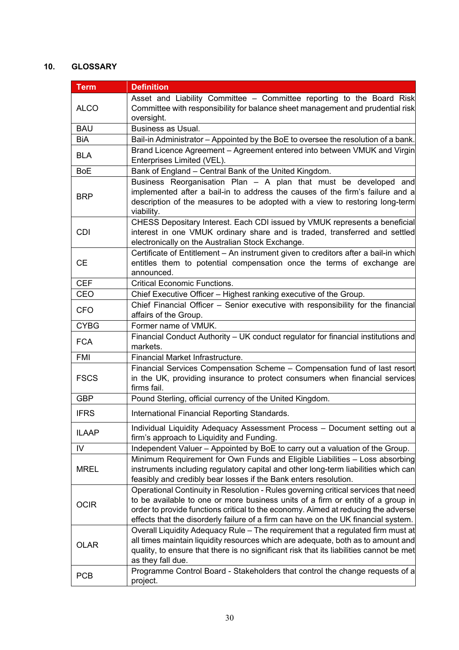# **10. GLOSSARY**

| <b>Term</b>  | <b>Definition</b>                                                                                                                                                                                                                                                                                                                                |
|--------------|--------------------------------------------------------------------------------------------------------------------------------------------------------------------------------------------------------------------------------------------------------------------------------------------------------------------------------------------------|
| <b>ALCO</b>  | Asset and Liability Committee - Committee reporting to the Board Risk<br>Committee with responsibility for balance sheet management and prudential risk<br>oversight.                                                                                                                                                                            |
| <b>BAU</b>   | <b>Business as Usual.</b>                                                                                                                                                                                                                                                                                                                        |
| BiA          | Bail-in Administrator - Appointed by the BoE to oversee the resolution of a bank.                                                                                                                                                                                                                                                                |
| <b>BLA</b>   | Brand Licence Agreement - Agreement entered into between VMUK and Virgin<br>Enterprises Limited (VEL).                                                                                                                                                                                                                                           |
| <b>BoE</b>   | Bank of England - Central Bank of the United Kingdom.                                                                                                                                                                                                                                                                                            |
| <b>BRP</b>   | Business Reorganisation Plan - A plan that must be developed and<br>implemented after a bail-in to address the causes of the firm's failure and a<br>description of the measures to be adopted with a view to restoring long-term<br>viability.                                                                                                  |
| <b>CDI</b>   | CHESS Depositary Interest. Each CDI issued by VMUK represents a beneficial<br>interest in one VMUK ordinary share and is traded, transferred and settled<br>electronically on the Australian Stock Exchange.                                                                                                                                     |
| <b>CE</b>    | Certificate of Entitlement - An instrument given to creditors after a bail-in which<br>entitles them to potential compensation once the terms of exchange are<br>announced.                                                                                                                                                                      |
| <b>CEF</b>   | <b>Critical Economic Functions.</b>                                                                                                                                                                                                                                                                                                              |
| CEO          | Chief Executive Officer - Highest ranking executive of the Group.                                                                                                                                                                                                                                                                                |
| <b>CFO</b>   | Chief Financial Officer - Senior executive with responsibility for the financial<br>affairs of the Group.                                                                                                                                                                                                                                        |
| <b>CYBG</b>  | Former name of VMUK.                                                                                                                                                                                                                                                                                                                             |
| <b>FCA</b>   | Financial Conduct Authority – UK conduct regulator for financial institutions and<br>markets.                                                                                                                                                                                                                                                    |
| <b>FMI</b>   | Financial Market Infrastructure.                                                                                                                                                                                                                                                                                                                 |
| <b>FSCS</b>  | Financial Services Compensation Scheme - Compensation fund of last resort<br>in the UK, providing insurance to protect consumers when financial services<br>firms fail.                                                                                                                                                                          |
| <b>GBP</b>   | Pound Sterling, official currency of the United Kingdom.                                                                                                                                                                                                                                                                                         |
| <b>IFRS</b>  | International Financial Reporting Standards.                                                                                                                                                                                                                                                                                                     |
| <b>ILAAP</b> | Individual Liquidity Adequacy Assessment Process - Document setting out a<br>firm's approach to Liquidity and Funding.                                                                                                                                                                                                                           |
| IV           | Independent Valuer - Appointed by BoE to carry out a valuation of the Group.                                                                                                                                                                                                                                                                     |
| <b>MREL</b>  | Minimum Requirement for Own Funds and Eligible Liabilities - Loss absorbing<br>instruments including regulatory capital and other long-term liabilities which can<br>feasibly and credibly bear losses if the Bank enters resolution.                                                                                                            |
| <b>OCIR</b>  | Operational Continuity in Resolution - Rules governing critical services that need<br>to be available to one or more business units of a firm or entity of a group in<br>order to provide functions critical to the economy. Aimed at reducing the adverse<br>effects that the disorderly failure of a firm can have on the UK financial system. |
| <b>OLAR</b>  | Overall Liquidity Adequacy Rule - The requirement that a regulated firm must at<br>all times maintain liquidity resources which are adequate, both as to amount and<br>quality, to ensure that there is no significant risk that its liabilities cannot be met<br>as they fall due.                                                              |
| <b>PCB</b>   | Programme Control Board - Stakeholders that control the change requests of a<br>project.                                                                                                                                                                                                                                                         |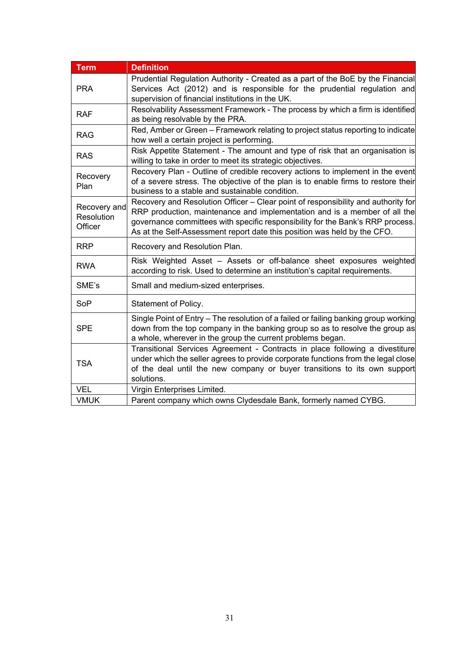| <b>Term</b>                           | <b>Definition</b>                                                                                                                                                                                                                                                                                                            |
|---------------------------------------|------------------------------------------------------------------------------------------------------------------------------------------------------------------------------------------------------------------------------------------------------------------------------------------------------------------------------|
| <b>PRA</b>                            | Prudential Regulation Authority - Created as a part of the BoE by the Financial<br>Services Act (2012) and is responsible for the prudential regulation and<br>supervision of financial institutions in the UK.                                                                                                              |
| <b>RAF</b>                            | Resolvability Assessment Framework - The process by which a firm is identified<br>as being resolvable by the PRA.                                                                                                                                                                                                            |
| <b>RAG</b>                            | Red, Amber or Green - Framework relating to project status reporting to indicate<br>how well a certain project is performing.                                                                                                                                                                                                |
| <b>RAS</b>                            | Risk Appetite Statement - The amount and type of risk that an organisation is<br>willing to take in order to meet its strategic objectives.                                                                                                                                                                                  |
| Recovery<br>Plan                      | Recovery Plan - Outline of credible recovery actions to implement in the event<br>of a severe stress. The objective of the plan is to enable firms to restore their<br>business to a stable and sustainable condition.                                                                                                       |
| Recovery and<br>Resolution<br>Officer | Recovery and Resolution Officer - Clear point of responsibility and authority for<br>RRP production, maintenance and implementation and is a member of all the<br>governance committees with specific responsibility for the Bank's RRP process.<br>As at the Self-Assessment report date this position was held by the CFO. |
| <b>RRP</b>                            | Recovery and Resolution Plan.                                                                                                                                                                                                                                                                                                |
| <b>RWA</b>                            | Risk Weighted Asset - Assets or off-balance sheet exposures weighted<br>according to risk. Used to determine an institution's capital requirements.                                                                                                                                                                          |
| SME's                                 | Small and medium-sized enterprises.                                                                                                                                                                                                                                                                                          |
| SoP                                   | Statement of Policy.                                                                                                                                                                                                                                                                                                         |
| <b>SPE</b>                            | Single Point of Entry - The resolution of a failed or failing banking group working<br>down from the top company in the banking group so as to resolve the group as<br>a whole, wherever in the group the current problems began.                                                                                            |
| <b>TSA</b>                            | Transitional Services Agreement - Contracts in place following a divestiture<br>under which the seller agrees to provide corporate functions from the legal close<br>of the deal until the new company or buyer transitions to its own support<br>solutions.                                                                 |
| <b>VEL</b>                            | Virgin Enterprises Limited.                                                                                                                                                                                                                                                                                                  |
| <b>VMUK</b>                           | Parent company which owns Clydesdale Bank, formerly named CYBG.                                                                                                                                                                                                                                                              |